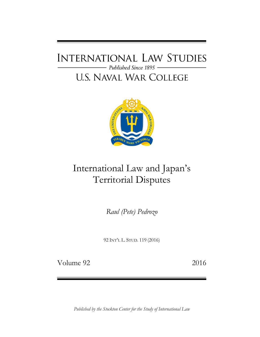## **INTERNATIONAL LAW STUDIES** - Published Since 1895 **U.S. NAVAL WAR COLLEGE**



# International Law and Japan's Territorial Disputes

*Raul (Pete) Pedrozo*

92 INT'L L. STUD. 119 (2016)

Volume 92 2016

*Published by the Stockton Center for the Study of International Law*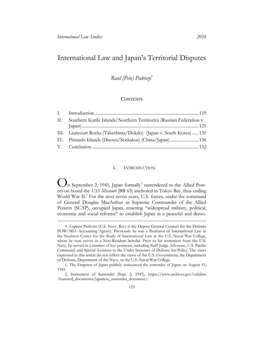## International Law and Japan's Territorial Disputes

### *Raul (Pete) Pedrozo*

#### **CONTENTS**

| П. | Southern Kurile Islands/Northern Territories (Russian Federation v. |
|----|---------------------------------------------------------------------|
|    |                                                                     |
|    | III. Liancourt Rocks (Takeshima/Dokdo) (Japan v. South Korea) 131   |
|    | IV. Pinnacle Islands (Diaoyu/Senkakus) (China/Japan)  136           |
|    |                                                                     |

#### I. INTRODUCTION

<span id="page-1-0"></span>O Let's on board the C33 Masonn (DD 03) anenoted in Tokyo Day, thus ending<br>World War II.<sup>2</sup> For the next seven years, U.S. forces, under the command<br>of General Douglas MacArthur as Supreme Commander of the Allied In September 2, 1945, Japan formally<sup>1</sup> surrendered to the Allied Powers on board the *USS Missouri* (BB 63) anchored in Tokyo Bay, thus ending of General Douglas MacArthur as Supreme Commander of the Allied Powers (SCAP), occupied Japan, enacting "widespread military, political, economic and social reforms" to establish Japan as a peaceful and demo-

Captain Pedrozo (U.S. Navy, Ret.) is the Deputy General Counsel for the Defense POW/MIA Accounting Agency. Previously he was a Professor of International Law in the Stockton Center for the Study of International Law at the U.S. Naval War College, where he now serves as a Non-Resident Scholar. Prior to his retirement from the U.S. Navy, he served in a number of key positions, including Staff Judge Advocate, U.S. Pacific Command, and Special Assistant to the Under Secretary of Defense for Policy. The views expressed in this article do not reflect the views of the U.S. Government, the Department of Defense, Department of the Navy, or the U.S. Naval War College.

<sup>1.</sup> The Emperor of Japan publicly announced the surrender of Japan on August 15, 1945.

<sup>2.</sup> Instrument of Surrender (Sept. 2, 1945), [https://www.archives.gov/exhibits](https://www.archives.gov/exhibits/featured_documents/japanese_surrender_document/)  [/featured\\_documents/japanese\\_surrender\\_document/.](https://www.archives.gov/exhibits/featured_documents/japanese_surrender_document/)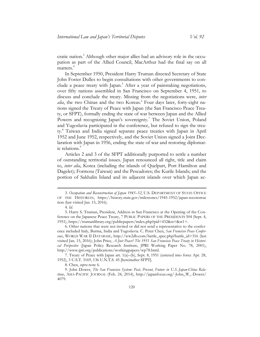cratic nation.<sup>3</sup> Although other major allies had an advisory role in the occupation as part of the Allied Council, MacArthur had the final say on all matters.<sup>4</sup>

In September 1950, President Harry Truman directed Secretary of State John Foster Dulles to begin consultations with other governments to conclude a peace treaty with Japan.<sup>5</sup> After a year of painstaking negotiations, over fifty nations assembled in San Francisco on September 4, 1951, to discuss and conclude the treaty. Missing from the negotiations were, *inter alia*, the two Chinas and the two Koreas.<sup>6</sup> Four days later, forty-eight nations signed the Treaty of Peace with Japan (the San Francisco Peace Treaty, or SFPT), formally ending the state of war between Japan and the Allied Powers and recognizing Japan's sovereignty.<sup>7</sup> The Soviet Union, Poland and Yugoslavia participated in the conference, but refused to sign the treaty.<sup>8</sup> Taiwan and India signed separate peace treaties with Japan in April 1952 and June 1952, respectively, and the Soviet Union signed a Joint Declaration with Japan in 1956, ending the state of war and restoring diplomatic relations.<sup>9</sup>

Articles 2 and 3 of the SFPT additionally purported to settle a number of outstanding territorial issues. Japan renounced all right, title and claim to, *inter alia*, Korea (including the islands of Quelpart, Port Hamilton and Dagelet); Formosa (Taiwan) and the Pescadores; the Kurile Islands; and the portion of Sakhalin Island and its adjacent islands over which Japan ac-

 $\overline{a}$ 

7. Treaty of Peace with Japan art. 1(a)–(b), Sept. 8, 1951 (entered into force Apr. 28, 1952), 3 U.S.T. 3169, 136 U.N.T.S. 45 [hereinafter SFPT].

<sup>3.</sup> *Occupation and Reconstruction of Japan 1945–52*, U.S. DEPARTMENT OF STATE OFFICE OF THE HISTORIAN, [https://history.state.gov/milestones/1945-1952/japan-reconstruc](https://history.state.gov/milestones/1945-1952/japan-reconstruction)  [tion](https://history.state.gov/milestones/1945-1952/japan-reconstruction) (last visited Jan. 15, 2016).

<sup>4.</sup> *Id.*

<sup>5.</sup> Harry S. Truman, President, Address in San Francisco at the Opening of the Conference on the Japanese Peace Treaty, 7 PUBLIC PAPERS OF THE PRESIDENTS 504 (Sept. 4, 1951), [https://trumanlibrary.org/publicpapers/index.php?pid=432&st=&st1=](https://trumanlibrary.org/publicpapers/index.php?pid=432&st=&st1).

<sup>6.</sup> Other nations that were not invited or did not send a representative to the conference included Italy, Burma, India and Yugoslavia. C. Peter Chen, *San Francisco Peace Conference*, WORLD WAR II DATABASE, [http://ww2db.com/battle\\_spec.php?battle\\_id=316](http://ww2db.com/battle_spec.php?battle_id=316) (last visited Jan. 15, 2016); John Price, *A Just Peace? The 1951 San Francisco Peace Treaty in Historical Perspective* (Japan Policy Research Institute, JPRI Working Paper No. 78, 2001), [http://www.jpri.org/publications/workingpapers/wp78.html.](http://www.jpri.org/publications/workingpapers/wp78.html)

<sup>8.</sup> Chen, *supra* note 6.

<sup>9.</sup> John Dower, *The San Francisco System: Past, Present, Future in U.S.-Japan-China Relations*, ASIA-PACIFIC JOURNAL (Feb. 24, 2014), [http://japanfocus.org/-John\\_W\\_-Dower/](http://japanfocus.org/-John_W_-Dower/4079)  [4079.](http://japanfocus.org/-John_W_-Dower/4079)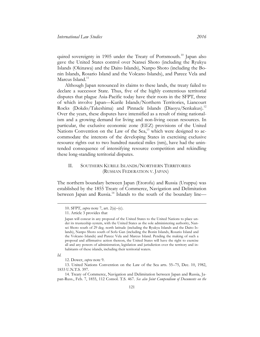quired sovereignty in 1905 under the Treaty of Portsmouth.<sup>10</sup> Japan also gave the United States control over Nansei Shoto (including the Ryukyu Islands (Okinawa) and the Daito Islands), Nanpo Shoto (including the Bonin Islands, Rosario Island and the Volcano Islands), and Parece Vela and Marcus Island.<sup>11</sup>

Although Japan renounced its claims to these lands, the treaty failed to declare a successor State. Thus, five of the highly contentious territorial disputes that plague Asia-Pacific today have their roots in the SFPT, three of which involve Japan—Kurile Islands/Northern Territories, Liancourt Rocks (Dokdo/Takeshima) and Pinnacle Islands (Diaoyu/Senkakus).<sup>12</sup> Over the years, these disputes have intensified as a result of rising nationalism and a growing demand for living and non-living ocean resources. In particular, the exclusive economic zone (EEZ) provisions of the United Nations Convention on the Law of the Sea,<sup>13</sup> which were designed to accommodate the interests of the developing States in exercising exclusive resource rights out to two hundred nautical miles (nm), have had the unintended consequence of intensifying resource competition and rekindling these long-standing territorial disputes.

#### <span id="page-3-0"></span>II. SOUTHERN KURILE ISLANDS/NORTHERN TERRITORIES (RUSSIAN FEDERATION V. JAPAN)

The northern boundary between Japan (Etorofu) and Russia (Uruppu) was established by the 1855 Treaty of Commerce, Navigation and Delimitation between Japan and Russia.<sup>14</sup> Islands to the south of the boundary line—

*Id.*

 $\overline{a}$ 

13. United Nations Convention on the Law of the Sea arts. 55–75, Dec. 10, 1982, 1833 U.N.T.S. 397.

14. Treaty of Commerce, Navigation and Delimitation between Japan and Russia, Japan-Russ., Feb. 7, 1855, 112 Consol. T.S. 467. *See also Joint Compendium of Documents on the* 

<sup>10.</sup> SFPT, *supra* note 7, art. 2(a)–(c).

<sup>11.</sup> Article 3 provides that

Japan will concur in any proposal of the United States to the United Nations to place under its trusteeship system, with the United States as the sole administering authority, Nansei Shoto south of 29 deg. north latitude (including the Ryukyu Islands and the Daito Islands), Nanpo Shoto south of Sofu Gan (including the Bonin Islands, Rosario Island and the Volcano Islands) and Parece Vela and Marcus Island. Pending the making of such a proposal and affirmative action thereon, the United States will have the right to exercise all and any powers of administration, legislation and jurisdiction over the territory and inhabitants of these islands, including their territorial waters.

<sup>12.</sup> Dower, *supra* note 9.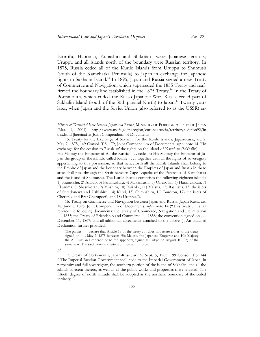Etorofu, Habomai, Kunashiri and Shikotan—were Japanese territory; Uruppu and all islands north of the boundary were Russian territory. In 1875, Russia ceded all of the Kurile Islands from Uruppu to Shumush (south of the Kamchatka Peninsula) to Japan in exchange for Japanese rights to Sakhalin Island.<sup>15</sup> In 1895, Japan and Russia signed a new Treaty of Commerce and Navigation, which superseded the 1855 Treaty and reaffirmed the boundary line established in the 1875 Treaty.<sup>16</sup> In the Treaty of Portsmouth, which ended the Russo-Japanese War, Russia ceded part of Sakhalin Island (south of the 50th parallel North) to Japan.<sup>17</sup> Twenty years later, when Japan and the Soviet Union (also referred to as the USSR) es-

16. Treaty on Commerce and Navigation between Japan and Russia, Japan-Russ., art. 18, June 8, 1895, Joint Compendium of Documents, *supra* note 14 ("This treaty . . . shall replace the following documents: the Treaty of Commerce, Navigation and Delimitation . . . 1855; the Treaty of Friendship and Commerce . . . 1858; the convention signed on . . . December 11, 1867; and all additional agreements attached to the above."). An attached Declaration further provided:

#### *Id.*

 $\overline{a}$ 

17. Treaty of Portsmouth, Japan-Russ., art. 9, Sept. 5, 1905, 199 Consol. T.S. 144 ("The Imperial Russian Government shall cede to the Imperial Government of Japan, in perpetuity and full sovereignty, the southern portion of the island of Sakhalin, and all the islands adjacent thereto, as well as all the public works and properties there situated. The fiftieth degree of north latitude shall be adopted as the northern boundary of the ceded territory.").

*History of Territorial Issue between Japan and Russia*, MINISTRY OF FOREIGN AFFAIRS OF JAPAN (Mar. 1, 2001), [http://www.mofa.go.jp/region/europe/russia/territory/edition92/in](http://www.mofa.go.jp/region/europe/russia/territory/edition92/index.html)  [dex.html](http://www.mofa.go.jp/region/europe/russia/territory/edition92/index.html) [hereinafter Joint Compendium of Documents].

<sup>15.</sup> Treaty for the Exchange of Sakhalin for the Kurile Islands, Japan-Russ., art. 2, May 7, 1875, 149 Consol. T.S. 179, Joint Compendium of Documents, *supra* note 14 ("In exchange for the cession to Russia of the rights on the island of Karafuto (Sakhalin) . . . , His Majesty the Emperor of All the Russias . . . cedes to His Majesty the Emperor of Japan the group of the islands, called Kurile . . . , together with all the rights of sovereignty appertaining to this possession, so that henceforth all the Kurile Islands shall belong to the Empire of Japan and the boundary between the Empires of Japan and Russia in these areas shall pass through the Strait between Cape Lopatka of the Peninsula of Kamchatka and the island of Shumushu. The Kurile Islands comprises the following eighteen islands: 1) Shumushu, 2) Araido, 3) Paramushiru, 4) Makanrushi, 5) Onekotan, 6) Harimukotan, 7) Ekaruma, 8) Shasukotan, 9) Mushiru, 10) Raikoke, 11) Matsua, 12) Rasutsua, 13) the islets of Suredonewa and Ushishiru, 14) Ketoi, 15) Shimushiru, 16) Buroton, 17) the islets of Cherupoi and Brat Cherupoefu and 18) Uruppu.").

The parties . . . declare that Article 18 of the treaty . . . does not relate either to the treaty signed on . . . May 7, 1875 between His Majesty the Japanese Emperor and His Majesty the All Russian Emperor, or to the appendix, signed at Tokyo on August 10 (22) of the same year. The said treaty and article . . . remain in force.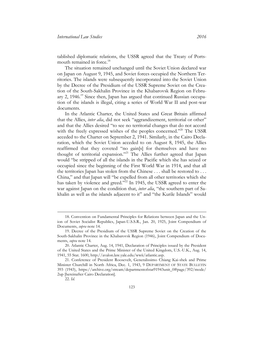tablished diplomatic relations, the USSR agreed that the Treaty of Portsmouth remained in force.<sup>18</sup>

The situation remained unchanged until the Soviet Union declared war on Japan on August 9, 1945, and Soviet forces occupied the Northern Territories. The islands were subsequently incorporated into the Soviet Union by the Decree of the Presidium of the USSR Supreme Soviet on the Creation of the South-Sakhalin Province in the Khabarovsk Region on February 2,  $1946<sup>19</sup>$  Since then, Japan has argued that continued Russian occupation of the islands is illegal, citing a series of World War II and post-war documents.

In the Atlantic Charter, the United States and Great Britain affirmed that the Allies, *inter alia*, did not seek "aggrandizement, territorial or other" and that the Allies desired "to see no territorial changes that do not accord with the freely expressed wishes of the peoples concerned."<sup>20</sup> The USSR acceded to the Charter on September 2, 1941. Similarly, in the Cairo Declaration, which the Soviet Union acceded to on August 8, 1945, the Allies reaffirmed that they coveted "no gain[s] for themselves and have no thought of territorial expansion."<sup>21</sup> The Allies further agreed that Japan would "be stripped of all the islands in the Pacific which she has seized or occupied since the beginning of the First World War in 1914, and that all the territories Japan has stolen from the Chinese . . . shall be restored to . . . China," and that Japan will "be expelled from all other territories which she has taken by violence and greed."<sup>22</sup> In 1945, the USSR agreed to enter the war against Japan on the condition that, *inter alia*, "the southern part of Sakhalin as well as the islands adjacent to it" and "the Kurile Islands" would

 $\overline{a}$ 

<sup>18.</sup> Convention on Fundamental Principles for Relations between Japan and the Union of Soviet Socialist Republics, Japan-U.S.S.R., Jan. 20, 1925, Joint Compendium of Documents, *supra* note 14.

<sup>19.</sup> Decree of the Presidium of the USSR Supreme Soviet on the Creation of the South-Sakhalin Province in the Khabarovsk Region (1946), Joint Compendium of Documents, *supra* note 14.

<sup>20.</sup> Atlantic Charter, Aug. 14, 1941, Declaration of Principles issued by the President of the United States and the Prime Minister of the United Kingdom, U.S.-U.K., Aug. 14, 1941, [55 Stat. 1600,](http://www.lexisnexis.com/lnacui2api/mungo/lexseestat.do?bct=A&risb=21_T23322221979&homeCsi=143840&A=0.8372356717587398&urlEnc=ISO-8859-1&&citeString=55%20Stat.%201600&countryCode=USA&_md5=00000000000000000000000000000000) [http://avalon.law.yale.edu/wwii/atlantic.asp.](http://avalon.law.yale.edu/wwii/atlantic.asp)

<sup>21.</sup> Conference of President Roosevelt, Generalissimo Chiang Kai-shek and Prime Minister Churchill in North Africa, Dec. 1, 1943, 9 DEPARTMENT OF STATE BULLETIN 393 (1943), [https://archive.org/stream/departmentofstat91943unit\\_0#page/392/mode/](https://archive.org/stream/departmentofstat91943unit_0#page/392/mode/2up)  [2up](https://archive.org/stream/departmentofstat91943unit_0#page/392/mode/2up) [hereinafter Cairo Declaration].

<sup>22.</sup> *Id.*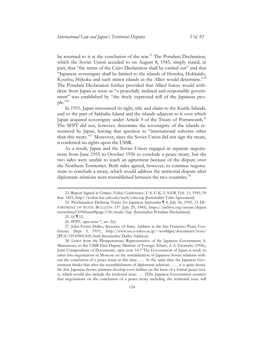be returned to it at the conclusion of the war.<sup>23</sup> The Potsdam Declaration, which the Soviet Union acceded to on August 8, 1945, simply stated, in part, that "the terms of the Cairo Declaration shall be carried out" and that "Japanese sovereignty shall be limited to the islands of Honshu, Hokkaido, Kyushu, Shikoku and such minor islands as the Allies would determine."<sup>24</sup> The Potsdam Declaration further provided that Allied forces would withdraw from Japan as soon as "a peacefully inclined and responsible government" was established by "the freely expressed will of the Japanese people."25

In 1951, Japan renounced its right, title and claim to the Kurile Islands, and to the part of Sakhalin Island and the islands adjacent to it over which Japan acquired sovereignty under Article 9 of the Treaty of Portsmouth.<sup>26</sup> The SFPT did not, however, determine the sovereignty of the islands renounced by Japan, leaving that question to "international solvents other than this treaty."<sup>27</sup> Moreover, since the Soviet Union did not sign the treaty, it conferred no rights upon the USSR.

As a result, Japan and the Soviet Union engaged in separate negotiations from June 1955 to October 1956 to conclude a peace treaty, but the two sides were unable to reach an agreement because of the dispute over the Northern Territories. Both sides agreed, however, to continue negotiations to conclude a treaty, which would address the territorial dispute after diplomatic relations were reestablished between the two countries.<sup>28</sup>

 $\overline{a}$ 

<sup>23.</sup> Report Signed at Crimea (Yalta) Conference, U.S.-U.K.-U.S.S.R, Feb. 11, 1945, 59 Stat. 1823,<http://avalon.law.yale.edu/wwii/yalta.asp> [hereinafter Yalta Agreement].

<sup>24.</sup> Proclamation Defining Terms for Japanese Surrender ¶ 8, July 26, 1945, 13 DE-PARTMENT OF STATE BULLETIN 137 (July 29, 1945), [https://archive.org/stream/depart](https://archive.org/stream/departmentofstat131945unit#page/136/mode/2up)  [mentofstat131945unit#page/136/mode/2up](https://archive.org/stream/departmentofstat131945unit#page/136/mode/2up) [hereinafter Potsdam Declaration].

<sup>25.</sup> *Id.* ¶ 12.

<sup>26.</sup> SFPT, *supra* note 7, art. 2(c).

<sup>27.</sup> John Foster Dulles, Secretary of State, Address at the San Francisco Peace Conference (Sept. 5, 1951), [http://www.ioc.u-tokyo.ac.jp/~worldjpn/documents/texts/](http://www.ioc.u-tokyo.ac.jp/~worldjpn/documents/texts/JPUS/19510905.S1E.html)  [JPUS/19510905.S1E.html](http://www.ioc.u-tokyo.ac.jp/~worldjpn/documents/texts/JPUS/19510905.S1E.html) [hereinafter Dulles Address].

<sup>28.</sup> Letter from the Plenipotentiary Representative of the Japanese Government, S. Matsumoto, to the USSR First Deputy Minister of Foreign Affairs, A.A. Gromyko (1956), Joint Compendium of Documents, *supra* note 14 ("The Government of Japan is ready to enter into negotiations in Moscow on the normalization of Japanese-Soviet relations without the conclusion of a peace treaty at this time. . . . At the same time the Japanese Government thinks that after the reestablishment of diplomatic relations . . . , it is quite desirable that Japanese-Soviet relations develop even further on the basis of a formal peace treaty, which would also include the territorial issue. . . . [T]he Japanese Government assumes that negotiations on the conclusion of a peace treaty including the territorial issue will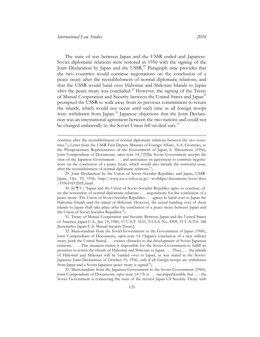The state of war between Japan and the USSR ended and Japanese-Soviet diplomatic relations were restored in 1956 with the signing of the Joint Declaration by Japan and the USSR.<sup>29</sup> Paragraph nine provides that the two countries would continue negotiations on the conclusion of a peace treaty after the reestablishment of normal diplomatic relations, and that the USSR would hand over Habomai and Shikotan Islands to Japan after the peace treaty was concluded.<sup>30</sup> However, the signing of the Treaty of Mutual Cooperation and Security between the United States and Japan<sup>31</sup> prompted the USSR to walk away from its previous commitment to return the islands, which would not occur until such time as all foreign troops were withdrawn from Japan.<sup>32</sup> Japanese objections that the Joint Declaration was an international agreement between the two nations and could not be changed unilaterally by the Soviet Union fell on deaf ears.<sup>33</sup>

continue after the reestablishment of normal diplomatic relations between the two countries."); Letter from the USSR First Deputy Minister of Foreign Affairs, A.A. Gromyko, to the Plenipotentiary Representative of the Government of Japan, S. Matsumoto (1956), Joint Compendium of Documents, *supra* note 14 ("[T]he Soviet Government accepts the view of the Japanese Government . . . and announces its agreement to continue negotiations on the conclusion of a peace treaty, which would also include the territorial issue, after the reestablishment of normal diplomatic relations.").

<sup>29.</sup> Joint Declaration by the Union of Soviet Socialist Republics and Japan, USSR-Japan, Oct. 19, 1956, [http://www.ioc.u-tokyo.ac.jp/~worldjpn/documents/texts/docs](http://www.ioc.u-tokyo.ac.jp/~worldjpn/documents/texts/docs/19561019.D1E.html)  [/19561019.D1E.html.](http://www.ioc.u-tokyo.ac.jp/~worldjpn/documents/texts/docs/19561019.D1E.html)

<sup>30.</sup> *Id.* ¶ 9 ( "Japan and the Union of Soviet Socialist Republics agree to continue, after the restoration of normal diplomatic relations . . . negotiations for the conclusion of a peace treaty. The Union of Soviet Socialist Republics . . . agrees to hand over to Japan the Habomai Islands and the island of Shikotan. However, the actual handing over of these islands to Japan shall take place after the conclusion of a peace treaty between Japan and the Union of Soviet Socialist Republics.").

<sup>31.</sup> Treaty of Mutual Cooperation and Security Between Japan and the United States of America, Japan-U.S., Jan. 19, 1960, 11 U.S.T. 1633, T.I.A.S. No. 4509, 33 U.N.T.S. 186 [hereinafter Japan-U.S. Mutual Security Treaty].

<sup>32.</sup> Memorandum from the Soviet Government to the Government of Japan (1960), Joint Compendium of Documents, *supra* note 14 ("Japan's conclusion of a new military treaty [with the United States] . . . creates obstacles to the development of Soviet-Japanese relations. . . . This situation makes it impossible for the Soviet Government to fulfill its promises to return the islands of Habomai and Shikotan to Japan. . . . Thus, . . . the islands of Habomai and Shikotan will be handed over to Japan, as was stated in the Soviet-Japanese Joint Declaration of October 19, 1956, only if all foreign troops are withdrawn from Japan and a Soviet-Japanese peace treaty is signed.").

<sup>33.</sup> Memorandum from the Japanese Government to the Soviet Government (1960), Joint Compendium of Documents, *supra* note 14 ("It is . . . incomprehensible that . . . the Soviet Government is connecting the issue of the revised Japan-US Security Treaty with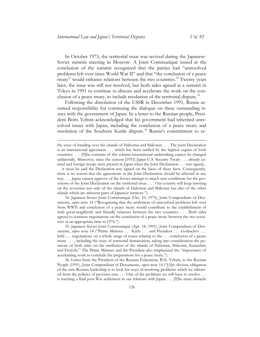In October 1973, the territorial issue was revived during the Japanese-Soviet summit meeting in Moscow. A Joint Communiqué issued at the conclusion of the summit recognized that the parties had "unresolved problems left over since World War II" and that "the conclusion of a peace treaty" would enhance relations between the two countries.<sup>34</sup> Twenty years later, the issue was still not resolved, but both sides agreed at a summit in Tokyo in 1991 to continue to discuss and accelerate the work on the conclusion of a peace treaty, to include resolution of the territorial dispute.<sup>35</sup>

Following the dissolution of the USSR in December 1991, Russia assumed responsibility for continuing the dialogue on these outstanding issues with the government of Japan. In a letter to the Russian people, President Boris Yeltsin acknowledged that his government had inherited unresolved issues with Japan, including the conclusion of a peace treaty and resolution of the Southern Kurile dispute.<sup>36</sup> Russia's commitment to re-

34. Japanese-Soviet Joint Communiqué (Oct. 10, 1973), Joint Compendium of Documents, *supra* note 14 ("Recognizing that the settlement of unresolved problems left over from WWII and conclusion of a peace treaty would contribute to the establishment of truly good-neighborly and friendly relations between the two countries. . . . Both sides agreed to continue negotiations on the conclusion of a peace treaty between the two countries at an appropriate time in 1974.").

35. Japanese-Soviet Joint Communiqué (Apr. 18, 1991), Joint Compendium of Documents, *supra* note 14 ("Prime Minister . . . Kaifu . . . and President . . . Gorbachev . . . held . . . negotiations on a whole range of issues relating to the . . . conclusion of a peace treaty . . . , including the issue of territorial demarcation, taking into consideration the positions of both sides on the attribution of the islands of Habomai, Shikotan, Kunashiri, and Etorofu." The Prime Minister and the President also emphasized the "importance of accelerating work to conclude the preparations for a peace treaty.").

36. Letter from the President of the Russian Federation, B.N. Yeltsin, to the Russian People (1991), Joint Compendium of Documents, *supra* note 14 ("[A]n obvious obligation of the new Russian leadership is to look for ways of resolving problems which we inherited from the policies of previous eras. . . . One of the problems we will have to resolve . . . is reaching a final post-War settlement in our relations with Japan. . . . [T]he main obstacle

the issue of handing over the islands of Habomai and Shikotan. . . . The Joint Declaration is an international agreement . . . which has been ratified by the highest organs of both countries. . . . [T]he contents of this solemn international undertaking cannot be changed unilaterally. Moreover, since the current [1951] Japan-U.S. Security Treaty . . . already existed and foreign troops were present in Japan when the Joint Declaration . . . was signed, . . . it must be said the Declaration was signed on the basis of these facts. Consequently, there is no reason that the agreements in the Joint Declaration should be affected in any way. . . . Japan cannot approve of the Soviet attempt to attach new conditions for the provisions of the Joint Declaration on the territorial issue. . . . Our country will keep insisting on the reversion not only of the islands of Habomai and Shikotan but also of the other islands which are inherent parts of Japanese territory.").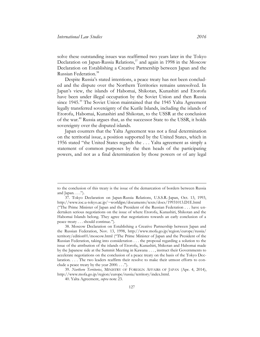solve these outstanding issues was reaffirmed two years later in the Tokyo Declaration on Japan-Russia Relations, <sup>37</sup> and again in 1998 in the Moscow Declaration on Establishing a Creative Partnership between Japan and the Russian Federation. 38

Despite Russia's stated intentions, a peace treaty has not been concluded and the dispute over the Northern Territories remains unresolved. In Japan's view, the islands of Habomai, Shikotan, Kunashiri and Etorofu have been under illegal occupation by the Soviet Union and then Russia since 1945.<sup>39</sup> The Soviet Union maintained that the 1945 Yalta Agreement legally transferred sovereignty of the Kurile Islands, including the islands of Etorofu, Habomai, Kunashiri and Shikotan, to the USSR at the conclusion of the war.<sup>40</sup> Russia argues that, as the successor State to the USSR, it holds sovereignty over the disputed islands.

Japan counters that the Yalta Agreement was not a final determination on the territorial issue, a position supported by the United States, which in 1956 stated "the United States regards the . . . Yalta agreement as simply a statement of common purposes by the then heads of the participating powers, and not as a final determination by those powers or of any legal

to the conclusion of this treaty is the issue of the demarcation of borders between Russia and Japan.  $\ldots$ ").

<sup>37.</sup> Tokyo Declaration on Japan-Russia Relations, U.S.S.R.-Japan, Oct. 13, 1993, <http://www.ioc.u-tokyo.ac.jp/~worldjpn/documents/texts/docs/19931013.D1E.html> ("The Prime Minister of Japan and the President of the Russian Federation . . . have undertaken serious negotiations on the issue of where Etorofu, Kunashiri, Shikotan and the Habomai Islands belong. They agree that negotiations towards an early conclusion of a peace treaty . . . should continue.").

<sup>38.</sup> Moscow Declaration on Establishing a Creative Partnership between Japan and the Russian Federation, Nov. 13, 1998, [http://www.mofa.go.jp/region/europe/russia/](http://www.mofa.go.jp/region/europe/russia/territory/edition01/moscow.html)  [territory/edition01/moscow.html](http://www.mofa.go.jp/region/europe/russia/territory/edition01/moscow.html) ("The Prime Minister of Japan and the President of the Russian Federation, taking into consideration . . . the proposal regarding a solution to the issue of the attribution of the islands of Etorofu, Kunashiri, Shikotan and Habomai made by the Japanese side at the Summit Meeting in Kawana . . . , instruct their Governments to accelerate negotiations on the conclusion of a peace treaty on the basis of the Tokyo Declaration. . . . The two leaders reaffirm their resolve to make their utmost efforts to conclude a peace treaty by the year  $2000$ ....").

<sup>39.</sup> *Northern Territories*, MINISTRY OF FOREIGN AFFAIRS OF JAPAN (Apr. 4, 2014), [http://www.mofa.go.jp/region/europe/russia/territory/index.html.](http://www.mofa.go.jp/region/europe/russia/territory/index.html)

<sup>40.</sup> Yalta Agreement, *supra* note 23.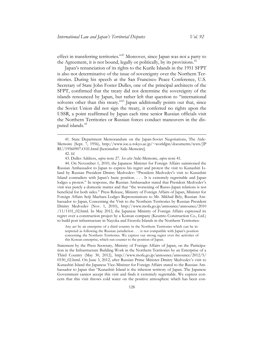effect in transferring territories."<sup>41</sup> Moreover, since Japan was not a party to the Agreement, it is not bound, legally or politically, by its provisions.<sup>42</sup>

Japan's renunciation of its rights to the Kurile Islands in the 1951 SFPT is also not determinative of the issue of sovereignty over the Northern Territories. During his speech at the San Francisco Peace Conference, U.S. Secretary of State John Foster Dulles, one of the principal architects of the SFPT, confirmed that the treaty did not determine the sovereignty of the islands renounced by Japan, but rather left that question to "international solvents other than this treaty."<sup>43</sup> Japan additionally points out that, since the Soviet Union did not sign the treaty, it conferred no rights upon the USSR, a point reaffirmed by Japan each time senior Russian officials visit the Northern Territories or Russian forces conduct maneuvers in the disputed islands.<sup>44</sup>

 $\overline{a}$ 

44. On November 1, 2010, the Japanese Minister for Foreign Affairs summoned the Russian Ambassador to Japan to express his regret and protest the visit to Kunashiri Island by Russian President Dmitry Medvedev: "President Medvedev's visit to Kunashiri Island contradicts with Japan's basic position. . . . It is extremely regrettable and Japan lodges a protest." In response, the Russian Ambassador stated that President Medvedev's visit was purely a domestic matter and that "the worsening of Russo-Japan relations is not beneficial for both sides." Press Release, Ministry of Foreign Affairs of Japan, Minister for Foreign Affairs Seiji Maehara Lodges Representations to Mr. Mikhail Bely, Russian Ambassador to Japan, Concerning the Visit to the Northern Territories by Russian President Dmitry Medvedev (Nov. 1, 2010), [http://www.mofa.go.jp/announce/announce/2010](http://www.mofa.go.jp/announce/announce/2010/11/1101_02.html)  [/11/1101\\_02.html.](http://www.mofa.go.jp/announce/announce/2010/11/1101_02.html) In May 2012, the Japanese Ministry of Foreign Affairs expressed its regret over a construction project by a Korean company (Keumto Construction Co., Ltd.) to build port infrastructure in Nayoka and Etorofu Islands in the Northern Territories:

Any act by an enterprise of a third country in the Northern Territories which can be interpreted as following the Russian jurisdiction . . . is not compatible with Japan's position concerning the Northern Territories. We express our strong regret over the activities of this Korean enterprise, which run counter to the position of Japan*.*

Statement by the Press Secretary, Ministry of Foreign Affairs of Japan, on the Participation in the Infrastructure Building Work in the Northern Territories by an Enterprise of a Third Country (May 30, 2012), [http://www.mofa.go.jp/announce/announce/2012/5/](http://www.mofa.go.jp/announce/announce/2012/5/0530_02.html)  [0530\\_02.html](http://www.mofa.go.jp/announce/announce/2012/5/0530_02.html). On June 3, 2012, after Russian Prime Minister Dmitry Medvedev's visit to Kunashiri Island the Japanese Vice-Minister for Foreign Affairs stated to the Russian Ambassador to Japan that "Kunashiri Island is the inherent territory of Japan. The Japanese Government cannot accept this visit and finds it extremely regrettable. We express concern that this visit throws cold water on the positive atmosphere which has been con-

<sup>41.</sup> State Department Memorandum on the Japan-Soviet Negotiations, The Aide-Memoire (Sept. 7, 1956), [http://www.ioc.u-tokyo.ac.jp/~worldjpn/documents/texts/JP](http://www.ioc.u-tokyo.ac.jp/~worldjpn/documents/texts/JPRU/19560907.O1E.html)  [RU/19560907.O1E.html](http://www.ioc.u-tokyo.ac.jp/~worldjpn/documents/texts/JPRU/19560907.O1E.html) [hereinafter Aide-Memoire].

<sup>42.</sup> *Id.*

<sup>43.</sup> Dulles Address, *supra* note 27. *See also* Aide-Memoire, *supra* note 41*.*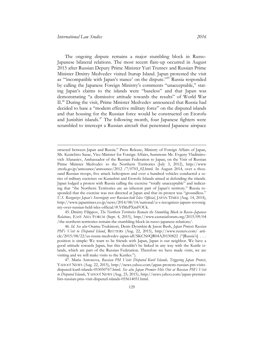The ongoing dispute remains a major stumbling block in Russo-Japanese bilateral relations. The most recent flare-up occurred in August 2015 after Russian Deputy Prime Minister Yuri Trutnev and Russian Prime Minister Dmitry Medvedev visited Iturup Island. Japan protested the visit as "'incompatible with Japan's stance' on the dispute."<sup>45</sup> Russia responded by calling the Japanese Foreign Ministry's comments "unacceptable," stating Japan's claims to the islands were "baseless" and that Japan was demonstrating "a dismissive attitude towards the results" of World War II.<sup>46</sup> During the visit, Prime Minister Medvedev announced that Russia had decided to base a "modern effective military force" on the disputed islands and that housing for the Russian force would be constructed on Etorofu and Junishiri islands.<sup>47</sup> The following month, four Japanese fighters were scrambled to intercept a Russian aircraft that penetrated Japanese airspace

45. Dmitry Filippov, *The Northern Territories Remain the Stumbling Block in Russo–Japanese Relations*, EAST ASIA FORUM (Sept. 4, 2015), [http://www.eastasiaforum.org/2015/09/04](http://www.eastasiaforum.org/2015/09/04/the-northern-territories-remain-the-stumbling-block-in-russo-japanese-relations/)  [/the-northern-territories-remain-the-stumbling-block-in-russo-japanese-relations/.](http://www.eastasiaforum.org/2015/09/04/the-northern-territories-remain-the-stumbling-block-in-russo-japanese-relations/)

structed between Japan and Russia." Press Release, Ministry of Foreign Affairs of Japan, Mr. Kenichiro Sasae, Vice-Minister for Foreign Affairs, Summons Mr. Evgeny Vladimirovich Afanasiev, Ambassador of the Russian Federation to Japan, on the Visit of Russian Prime Minister Medvedev to the Northern Territories (July 3, 2012), [http://www](http://www.mofa.go.jp/announce/announce/2012/7/0703_02.html)  [.mofa.go.jp/announce/announce/2012 /7/0703\\_02.html.](http://www.mofa.go.jp/announce/announce/2012/7/0703_02.html) In August 2014, over a thousand Russian troops, five attack helicopters and over a hundred vehicles conducted a series of military exercises on Kunashiri and Etorofu Islands aimed at defending the islands. Japan lodged a protest with Russia calling the exercise "totally unacceptable" and indicating that "the Northern Territories are an inherent part of Japan's territory." Russia responded that the exercise was not directed at Japan and that its protest was "groundless." *U.S. Recognizes Japan's Sovereignty over Russian-held Isles: Official*, JAPAN TIMES (Aug. 14, 2014), [http://www.japantimes.co.jp/news/2014/08/14/national/u-s-recognizes-japans-sovereig](http://www.japantimes.co.jp/news/2014/08/14/national/u-s-recognizes-japans-sovereignty-over-russian-held-isles-official/#.VfMzPXmFOUk)  [nty-over-russian-held-isles-official/#.VfMzPXmFOUk.](http://www.japantimes.co.jp/news/2014/08/14/national/u-s-recognizes-japans-sovereignty-over-russian-held-isles-official/#.VfMzPXmFOUk)

<sup>46.</sup> *Id. See also* Osamu Tsukimori, [Denis Dyomkin](http://blogs.reuters.com/search/journalist.php?edition=us&n=denisdyomkin&) & Jason Bush, *Japan Protests Russian PM's Visit to Disputed Island*, REUTERS (Aug. 22, 2015), [http://www.reuters.com/ arti](http://www.reuters.com/article/2015/08/22/us-russia-medvedev-japan-idUSKCN0QR04A20150822)[cle/2015/08/22/us-russia-medvedev-japan-idUSKCN0QR04A20150822](http://www.reuters.com/article/2015/08/22/us-russia-medvedev-japan-idUSKCN0QR04A20150822) ("[Russia's] . . . position is simple: We want to be friends with Japan, Japan is our neighbor. We have a good attitude towards Japan, but this shouldn't be linked in any way with the Kurile islands, which are part of the Russian Federation. Therefore we have made visits, we are visiting and we will make visits to the Kuriles.").

<sup>47.</sup> Maria Antonova, *Russian PM Visits Disputed Kuril Islands, Triggering Japan Protest*, YAHOO! NEWS (Aug. 22, 2015), [http://news.yahoo.com/japan-protests-russian-pm-visits](http://news.yahoo.com/japan-protests-russian-pm-visits-disputed-kuril-islands-053050767.html)[disputed-kuril-islands-053050767.html.](http://news.yahoo.com/japan-protests-russian-pm-visits-disputed-kuril-islands-053050767.html) *See also Japan Premier Hits Out at Russian PM's Visit to Disputed Islands*, YAHOO! NEWS (Aug. 23, 2015), [http://news.yahoo.com/japan-premier](http://news.yahoo.com/japan-premier-hits-russian-pms-visit-disputed-islands-055614051.html)[hits-russian-pms-visit-disputed-islands-055614051.html.](http://news.yahoo.com/japan-premier-hits-russian-pms-visit-disputed-islands-055614051.html)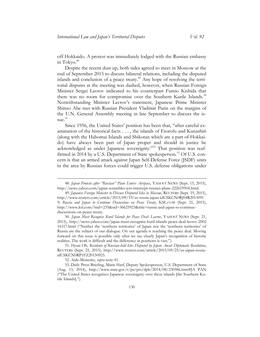off Hokkaido. A protest was immediately lodged with the Russian embassy in Tokyo.<sup>48</sup>

Despite the recent dust up, both sides agreed to meet in Moscow at the end of September 2015 to discuss bilateral relations, including the disputed islands and conclusion of a peace treaty.<sup> $49$ </sup> Any hope of resolving the territorial disputes at the meeting was dashed, however, when Russian Foreign Minister Sergei Lavrov indicated to his counterpart Fumio Kishida that there was no room for compromise over the Southern Kurile Islands.<sup>50</sup> Notwithstanding Minister Lavrov's statement, Japanese Prime Minister Shinzo Abe met with Russian President Vladimir Putin on the margins of the U.N. General Assembly meeting in late September to discuss the issue. 51

Since 1956, the United States' position has been that, "after careful examination of the historical facts . . . , the islands of Etorofu and Kunashiri (along with the Habomai Islands and Shikotan which are a part of Hokkaido) have always been part of Japan proper and should in justice be acknowledged as under Japanese sovereignty."<sup>52</sup> That position was reaffirmed in 2014 by a U.S. Department of State spokesperson.<sup>53</sup> Of U.S. concern is that an armed attack against Japan Self-Defense Force (JSDF) units in the area by Russian forces could trigger U.S. defense obligations under

51. Hyun Oh, *Residents of Russian-held Isles Disputed by Japan Await Diplomatic Resolution*, REUTERS (Sept. 25, 2015), [http://www.reuters.com/article/2015/09/25/us-japan-russia](http://www.reuters.com/article/2015/09/25/us-japan-russia-idUSKCN0RP1FZ20150925)[idUSKCN0RP1FZ20150925.](http://www.reuters.com/article/2015/09/25/us-japan-russia-idUSKCN0RP1FZ20150925) 

52. Aide-Memoire, *supra* note 41.

 $\overline{a}$ 

<sup>48.</sup> *Japan Protests after "Russian" Plane Enters Airspace*, YAHOO! NEWS (Sept. 15, 2015), [http://news.yahoo.com/japan-scrambles-jets-intercept-russian-plane-222619504.html.](http://news.yahoo.com/japan-scrambles-jets-intercept-russian-plane-222619504.html) 

<sup>49.</sup> *Japanese Foreign Minister to Discuss Disputed Isles in Moscow*, REUTERS (Sept. 19, 2015), [http://www.reuters.com/article/2015/09/19/us-russia-japan-idUSKCN0RJ04R2015091](http://www.reuters.com/article/2015/09/19/us-russia-japan-idUSKCN0RJ04R20150919)  [9;](http://www.reuters.com/article/2015/09/19/us-russia-japan-idUSKCN0RJ04R20150919) *Russia and Japan to Continue Discussions on Peace Treaty*, KSL.COM (Sept. 21, 2015), [http://www.ksl.com/?nid=235&sid=36625923&title=russia-and-japan-to-continue](http://www.ksl.com/?nid=235&sid=36625923&title=russia-and-japan-to-continue-discussions-on-peace-treaty)[discussions-on-peace-treaty.](http://www.ksl.com/?nid=235&sid=36625923&title=russia-and-japan-to-continue-discussions-on-peace-treaty)

<sup>50.</sup> *Japan Must Recognise Kuril Islands for Peace Deal: Lavrov*, YAHOO! NEWS (Sept. 21, 2015), [http://news.yahoo.com/japan-must-recognise-kuril-islands-peace-deal-lavrov-2002](http://news.yahoo.com/japan-must-recognise-kuril-islands-peace-deal-lavrov-200216317.html)  [16317.html](http://news.yahoo.com/japan-must-recognise-kuril-islands-peace-deal-lavrov-200216317.html) ("Neither the 'northern territories' of Japan nor the 'northern territories' of Russia are the subject of our dialogue. On our agenda is reaching the peace deal. Moving forward on this issue is possible only after we see clearly Japan's recognition of historic realities. The work is difficult and the difference in positions is vast.").

<sup>53.</sup> Daily Press Briefing, Marie Harf, Deputy Spokesperson, U.S. Department of State (Aug. 13, 2014), [http://www.state.gov/r/pa/prs/dpb/2014/08/230586.htm#JA PAN](http://www.state.gov/r/pa/prs/dpb/2014/08/230586.htm#JAPAN) ("The United States recognizes Japanese sovereignty over these islands [the Southern Kurile Islands].").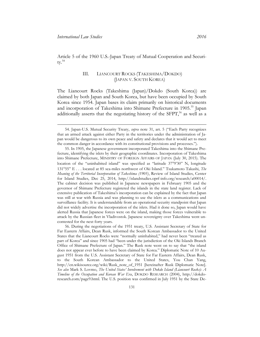<span id="page-13-0"></span>Article 5 of the 1960 U.S.-Japan Treaty of Mutual Cooperation and Securi $tv.^{54}$ 

#### III. LIANCOURT ROCKS (TAKESHIMA/DOKDO) (JAPAN V. SOUTH KOREA)

The Liancourt Rocks (Takeshima (Japan)/Dokdo (South Korea)) are claimed by both Japan and South Korea, but have been occupied by South Korea since 1954. Japan bases its claim primarily on historical documents and incorporation of Takeshima into Shimane Prefecture in 1905.<sup>55</sup> Japan additionally asserts that the negotiating history of the SFPT,<sup>56</sup> as well as a

<sup>54.</sup> Japan-U.S. Mutual Security Treaty, *supra* note 31, art. 5 ("Each Party recognizes that an armed attack against either Party in the territories under the administration of Japan would be dangerous to its own peace and safety and declares that it would act to meet the common danger in accordance with its constitutional provisions and processes.").

<sup>55.</sup> In 1905, the Japanese government incorporated Takeshima into the Shimane Prefecture, identifying the islets by their geographic coordinates. Incorporation of Takeshima into Shimane Prefecture, MINISTRY OF FOREIGN AFFAIRS OF JAPAN (July 30, 2015). The location of the "uninhabited island" was specified as "latitude 37°9'30" N, longitude 13155" E . . . located at 85 sea-miles northwest of Oki Island." Tsukamoto Takashi, *The Meaning of the Territorial Incorporation of Takeshima (1905)*, Review of Island Studies, Center for Island Studies, Dec 25, 2014, [http://islandstudies.oprf-info.org/research/a00014/.](http://islandstudies.oprf-info.org/research/a00014/) The cabinet decision was published in Japanese newspapers in February 1905 and the governor of Shimane Prefecture registered the islands in the state land register. Lack of extensive publication of Takeshima's incorporation can be explained by the fact that Japan was still at war with Russia and was planning to use the islets as a communications and surveillance facility. It is understandable from an operational security standpoint that Japan did not widely advertise the incorporation of the islets. Had it done so, Japan would have alerted Russia that Japanese forces were on the island, making those forces vulnerable to attack by the Russian fleet in Vladivostok. Japanese sovereignty over Takeshima went uncontested for the next forty years.

<sup>56.</sup> During the negotiations of the 1951 treaty, U.S. Assistant Secretary of State for Far Eastern Affairs, Dean Rusk, informed the South Korean Ambassador to the United States that the Liancourt Rocks were "normally uninhabited," had never been "treated as part of Korea" and since 1905 had "been under the jurisdiction of the Oki Islands Branch Office of Shimane Prefecture of Japan." The Rusk note went on to say that "the island does not appear ever before to have been claimed by Korea." Diplomatic Note of 10 August 1951 from the U.S. Assistant Secretary of State for Far Eastern Affairs, Dean Rusk, to the South Korean Ambassador to the United States, You Chan Yang, [http://en.wikisource.org/wiki/Rusk\\_note\\_of\\_1951](http://en.wikisource.org/wiki/Rusk_note_of_1951) [hereinafter Rusk Diplomatic Note]. *See also* Mark S. Lovmo, *The United States' Involvement with Dokdo Island (Liancourt Rocks): A Timeline of the Occupation and Korean War Era*, DOKDO RESEARCH (2004), [http://dokdo](http://dokdo-research.com/page9.html)[research.com/page9.html.](http://dokdo-research.com/page9.html) The U.S. position was confirmed in July 1951 by the State De-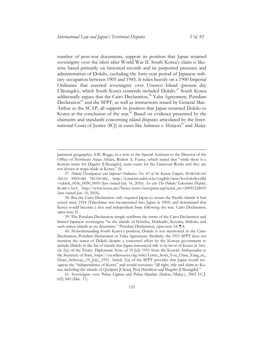number of post-war documents, support its position that Japan retained sovereignty over the islets after World War II. South Korea's claim is likewise based primarily on historical records and its purported presence and administration of Dokdo, excluding the forty-year period of Japanese military occupation between 1905 and 1945. It relies heavily on a 1900 Imperial Ordnance that asserted sovereignty over Utsuryo Island (present day Ulleungdo), which South Korea contends included Dokdo.<sup>57</sup> South Korea additionally argues that the Cairo Declaration,<sup>58</sup> Yalta Agreement, Potsdam Declaration<sup>59</sup> and the SFPT, as well as instructions issued by General Mac-Arthur as the SCAP, all support its position that Japan returned Dokdo to Korea at the conclusion of the war.<sup>60</sup> Based on evidence presented by the claimants and standards concerning island disputes articulated by the International Court of Justice (ICJ) in cases like *Indonesia v. Malaysia*<sup>61</sup> and *Malay-*

partment geographer, S.W. Boggs, in a note to the Special Assistant to the Director of the Office of Northeast Asian Affairs, Robert A. Fearey, which stated that "while there is a Korean name for Dagelet [Ulleungdo], none exists for the Liancourt Rocks and they are not shown in maps made in Korea." *Id.*

<sup>57.</sup> *Dokdo Development and Imperial Ordinance No. 41 of the Korean Empire*, NORTHEAST ASIAN HISTORY NETWORK, [http://contents.nahf.or.kr/english/item/level.do?levelId](http://contents.nahf.or.kr/english/item/level.do?levelId=eddok_003e_0030_0010)  [=eddok\\_003e\\_0030\\_0010](http://contents.nahf.or.kr/english/item/level.do?levelId=eddok_003e_0030_0010) (last visited Jan. 16, 2016). *See also The Dokdo/Takeshima Dispute*, KOREA.NET, [http://www.korea.net/News/news/newsprint.asp?serial\\_no=20091228010](http://www.korea.net/News/news/newsprint.asp?serial_no=20091228010) (last visited Jan. 16, 2016).

<sup>58.</sup> But the Cairo Declaration only required Japan to return the Pacific islands it had seized since 1914 (Takeshima was incorporated into Japan in 1905) and determined that Korea would become a free and independent State following the war. Cairo Declaration, *supra* note 21.

<sup>59.</sup> The Potsdam Declaration simply reaffirms the terms of the Cairo Declaration and limited Japanese sovereignty "to the islands of Honshu, Hokkaido, Kyushu, Shikoku and such minor islands as we determine." Potsdam Declaration, *supra* note 24, ¶ 8.

<sup>60</sup>. Notwithstanding South Korea's position, Dokdo is not mentioned in the Cairo Declaration, Potsdam Declaration or Yalta Agreement. Similarly, the 1951 SFPT does not mention the status of Dokdo despite a concerted effort by the Korean government to include Dokdo in the list of islands that Japan renounced title to in favor of Korea in Article 2(a) of the Treaty. Diplomatic Note of 19 July 1951 from the Korean Ambassador to the Secretary of State, [https://en.wikisource.org/wiki/Letter\\_from\\_You\\_Chan\\_Yang\\_to\\_](https://en.wikisource.org/wiki/Letter_from_You_Chan_Yang_to_Dean_Acheson,_19_July,_1951)  [Dean\\_Acheson,\\_19\\_July,\\_1951.](https://en.wikisource.org/wiki/Letter_from_You_Chan_Yang_to_Dean_Acheson,_19_July,_1951) Article 2(a) of the SFPT provides that Japan would recognize the "independence of Korea" and would renounce "all right, title and claim to Korea, including the islands of Quelpart [Cheju], Port Hamilton and Dagelet [Ulleungdo]."

<sup>61.</sup> Sovereignty over Pulau Ligitan and Pulau Sipadan (Indon./Malay.), 2002 I.C.J. 625, 683 (Dec. 17).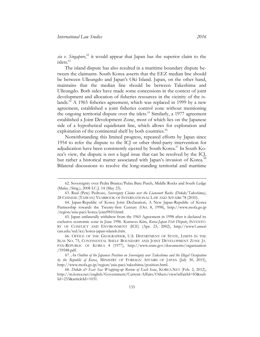*sia v. Singapore*, <sup>62</sup> it would appear that Japan has the superior claim to the  $islets.<sup>63</sup>$ 

The island dispute has also resulted in a maritime boundary dispute between the claimants. South Korea asserts that the EEZ median line should be between Ulleungdo and Japan's Oki Island. Japan, on the other hand, maintains that the median line should be between Takeshima and Ulleungdo. Both sides have made some concessions in the context of joint development and allocation of fisheries resources in the vicinity of the islands.<sup>64</sup> A 1965 fisheries agreement, which was replaced in 1999 by a new agreement, established a joint fisheries control zone without mentioning the ongoing territorial dispute over the islets.<sup>65</sup> Similarly, a 1977 agreement established a Joint Development Zone, most of which lies on the Japanese side of a hypothetical equidistant line, which allows for exploration and exploitation of the continental shelf by both countries.<sup>66</sup>

Notwithstanding this limited progress, repeated efforts by Japan since 1954 to refer the dispute to the ICJ or other third-party intervention for adjudication have been consistently ejected by South Korea. <sup>67</sup> In South Korea's view, the dispute is not a legal issue that can be resolved by the ICJ, but rather a historical matter associated with Japan's invasion of Korea.<sup>68</sup> Bilateral discussions to resolve the long-standing territorial and maritime

<sup>62.</sup> Sovereignty over Pedra Branca/Pulau Batu Puteh, Middle Rocks and South Ledge (Malay./Sing.), 2008 I.C.J. 14 (May 23).

<sup>63.</sup> Raul (Pete) Pedrozo, *Sovereignty Claims over the Liancourt Rocks (Dokdo/Takeshima)*, 28 CHINESE (TAIWAN) YEARBOOK OF INTERNATIONAL LAW AND AFFAIRS 78 (2010).

<sup>64.</sup> Japan-Republic of Korea Joint Declaration, A New Japan-Republic of Korea Partnership towards the Twenty-first Century (Oct. 8, 1998), [http://www.mofa.go.jp](http://www.mofa.go.jp/region/asia-paci/korea/joint9810.html)  [/region/asia-paci/korea/joint9810.html.](http://www.mofa.go.jp/region/asia-paci/korea/joint9810.html) 

<sup>65.</sup> Japan unilaterally withdrew from the 1965 Agreement in 1998 after it declared its exclusive economic zone in June 1996. Kunwoo Kim, *Korea-Japan Fish Dispute*, INVENTO-RY OF CONFLICT AND ENVIRONMENT (ICE) (Apr. 23, 2002), [http://www1.ameri](http://www1.american.edu/ted/ice/korea-japan-islands.htm)  [can.edu/ted/ice/korea-japan-islands.htm.](http://www1.american.edu/ted/ice/korea-japan-islands.htm) 

<sup>66.</sup> OFFICE OF THE GEOGRAPHER, U.S. DEPARTMENT OF STATE, LIMITS IN THE SEAS NO. 75, CONTINENTAL SHELF BOUNDARY AND JOINT DEVELOPMENT ZONE JA-PAN-REPUBLIC OF KOREA 4 (1977), [http://www.state.gov/documents/organization](http://www.state.gov/documents/organization/59588.pdf)  [/59588.pdf.](http://www.state.gov/documents/organization/59588.pdf)

<sup>67.</sup> *An Outline of the Japanese Position on Sovereignty over Takeshima and the Illegal Occupation by the Republic of Korea*, MINISTRY OF FOREIGN AFFAIRS OF JAPAN (July 30, 2015), [http://www.mofa.go.jp/region/asia-paci/takeshima/position.html.](http://www.mofa.go.jp/region/asia-paci/takeshima/position.html) 

<sup>68.</sup> *Dokdo & East Sea: Wrapping-up Review of Each Issue*, KOREA.NET (Feb. 2, 2012), [http://m.korea.net/english/Government/Current-Affairs/Others/view?affairId=83&sub](http://m.korea.net/english/Government/Current-Affairs/Others/view?affairId=83&subId=233&articleId=1031)  [Id=233&articleId=1031.](http://m.korea.net/english/Government/Current-Affairs/Others/view?affairId=83&subId=233&articleId=1031)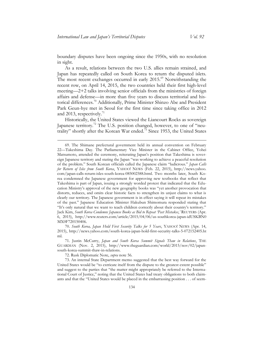boundary disputes have been ongoing since the 1950s, with no resolution in sight.

As a result, relations between the two U.S. allies remain strained, and Japan has repeatedly called on South Korea to return the disputed islets. The most recent exchanges occurred in early 2015.<sup>69</sup> Notwithstanding the recent row, on April 14, 2015, the two countries held their first high-level meeting—2+2 talks involving senior officials from the ministries of foreign affairs and defense—in more than five years to discuss territorial and historical differences.<sup>70</sup> Additionally, Prime Minister Shinzo Abe and President Park Geun-hye met in Seoul for the first time since taking office in 2012 and 2013, respectively. $11$ 

Historically, the United States viewed the Liancourt Rocks as sovereign Japanese territory.<sup>72</sup> The U.S. position changed, however, to one of "neutrality" shortly after the Korean War ended.<sup>73</sup> Since 1953, the United States

72. Rusk Diplomatic Note, *supra* note 56.

73. An internal State Department memo suggested that the best way forward for the United States would be "to extricate itself from the dispute to the greatest extent possible" and suggest to the parties that "the matter might appropriately be referred to the International Court of Justice," noting that the United States had treaty obligations to both claimants and that the "United States would be placed in the embarrassing position . . . of seem-

<sup>69.</sup> The Shimane prefectural government held its annual convention on February 22—Takeshima Day. The Parliamentary Vice Minister in the Cabinet Office, Yohei Matsumoto, attended the ceremony, reiterating Japan's position that Takeshima is sovereign Japanese territory and stating the Japan "was working to achieve a peaceful resolution of the problem." South Korean officials called the Japanese claim "ludicrous." *Japan Calls for Return of Isles from South Korea*, YAHOO! NEWS (Feb. 22, 2015), [http://news.yahoo.](http://news.yahoo.com/japan-calls-return-isles-south-korea-085002588.html)  [com/japan-calls-return-isles-south-korea-085002588.html.](http://news.yahoo.com/japan-calls-return-isles-south-korea-085002588.html) Two months later, South Korea condemned the Japanese government for approving new textbooks that reflect that Takeshima is part of Japan, issuing a strongly worded protest that indicated that the Education Ministry's approval of the new geography books was "yet another provocation that distorts, reduces, and omits clear historic facts to strengthen its unjust claims to what is clearly our territory. The Japanese government is in effect saying it will repeat its mistakes of the past." Japanese Education Minister Hakubun Shimomura responded stating that "It's only natural that we want to teach children correctly about their country's territory." Jack Kim, *South Korea Condemns Japanese Books as Bid to Repeat 'Past Mistakes*,*'* REUTERS (Apr. 6, 2015), [http://www.reuters.com/article/2015/04/06/us-southkorea-japan-idUSKBN0](http://www.reuters.com/article/2015/04/06/us-southkorea-japan-idUSKBN0MX0F720150406)  [MX0F720150406.](http://www.reuters.com/article/2015/04/06/us-southkorea-japan-idUSKBN0MX0F720150406) 

<sup>70.</sup> *South Korea, Japan Hold First Security Talks for 5 Years*, YAHOO! NEWS (Apr. 14, 2015), [http://news.yahoo.com/south-korea-japan-hold-first-security-talks-5-072152405.ht](http://news.yahoo.com/south-korea-japan-hold-first-security-talks-5-072152405.html)  [ml.](http://news.yahoo.com/south-korea-japan-hold-first-security-talks-5-072152405.html)

<sup>71.</sup> Justin McCurry, *Japan and South Korea Summit Signals Thaw in Relations*, THE GUARDIAN (Nov. 2, 2015), [http://www.theguardian.com/world/2015/nov/02/japan](http://www.theguardian.com/world/2015/nov/02/japan-south-korea-summit-thaw-in-relations)[south-korea-summit-thaw-in-relations.](http://www.theguardian.com/world/2015/nov/02/japan-south-korea-summit-thaw-in-relations)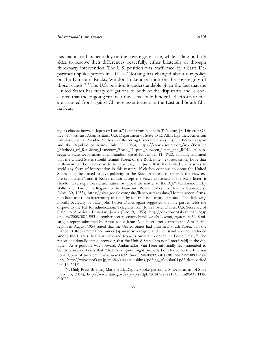has maintained its neutrality on the sovereignty issue, while calling on both sides to resolve their differences peacefully, either bilaterally or through third-party intervention. The U.S. position was reaffirmed by a State Department spokesperson in 2014—"Nothing has changed about our policy on the Liancourt Rocks. We don't take a position on the sovereignty of those islands."<sup>74</sup> The U.S. position is understandable given the fact that the United States has treaty obligations to both of the disputants and is concerned that the ongoing rift over the islets could hinder U.S. efforts to create a united front against Chinese assertiveness in the East and South China Seas.

ing to choose between Japan or Korea." Letter from Kenneth T. Young, Jr., Director Office of Northeast Asian Affairs, U.S. Department of State to E. Allan Lightner, American Embassy, Korea, Possible Methods of Resolving Liancourt Rocks Dispute Between Japan and the Republic of Korea (July 22, 1953), [https://en.wikisource.org/wiki/Possible](https://en.wikisource.org/wiki/Possible_Methods_of_Resolving_Liancourt_Rocks_Dispute_between_Japan_and_ROK)  [\\_Methods\\_of\\_Resolving\\_Liancourt\\_Rocks\\_Dispute\\_between\\_Japan\\_and\\_ROK.](https://en.wikisource.org/wiki/Possible_Methods_of_Resolving_Liancourt_Rocks_Dispute_between_Japan_and_ROK) A subsequent State Department memorandum dated November 11, 1953, similarly indicated that the United States should remind Korea of the Rusk note; "express strong hope that settlement can be reached with the Japanese; . . . [note that] the United States seeks to avoid any form of intervention in this matter;" if clashes continue to occur the United States "may be forced to give publicity to the Rusk letter and to reiterate the view expressed therein"; and if Korea cannot accept the views expressed in the Rusk letter, it should "take steps toward arbitration or appeal the matter to the ICJ." Memorandum by William T. Turner in Regard to the Liancourt Rocks (Takeshima Island) Controversy (Nov. 30, 1953), [https://sites.google.com/site/liancourttakeshima/Home/-recon firma](https://sites.google.com/site/liancourttakeshima/Home/-reconfirmation-liacnorut-rocks-is-terrotory-of-japan-by-san-fransisco-treaty-of-peace)[tion-liacnorut-rocks-is-terrotory-of-japan-by-san-fransisco-treaty-of-peace.](https://sites.google.com/site/liancourttakeshima/Home/-reconfirmation-liacnorut-rocks-is-terrotory-of-japan-by-san-fransisco-treaty-of-peace) The following month, Secretary of State John Foster Dulles again suggested that the parties refer the dispute to the ICJ for adjudication. Telegram from John Foster Dulles, U.S. Secretary of State, to American Embassy, Japan (Dec. 9, 1953), [http://dokdo-or-takeshima.blogsp](http://dokdo-or-takeshima.blogspot.com/2008/08/1953-december-secret-security.html)  [ot.com/2008/08/1953-december-secret-security.html.](http://dokdo-or-takeshima.blogspot.com/2008/08/1953-december-secret-security.html) *See also* Lovmo, *supra* note 56. Similarly, a report submitted by Ambassador James Van Fleet after a trip to the Asia-Pacific region in August 1954 stated that the United States had informed South Korea that the Liancourt Rocks "remained under Japanese sovereignty and the Island was not included among the Islands that Japan released from its ownership under the Peace Treaty." The report additionally stated, however, that the United States has not "interfere[d] in the dispute." As a possible way forward, Ambassador Van Fleet informally recommended to South Korean officials that "that the dispute might properly be referred to the International Court of Justice." *Ownership of Dokto Island*, MINISTRY OF FOREIGN AFFAIRS OF JA-PAN, http://www.mofa.go.jp/mofaj/area/takeshima/pdfs/g\_sfjoyaku04.pdf (last visited Jan. 16, 2016).

<sup>74.</sup> Daily Press Briefing, Marie Harf, Deputy Spokesperson, U.S. Department of State (Feb. 13, 2014), [http://www.state.gov/r/pa/prs/dpb/2014/02/221643.htm#SOUTHK](http://www.state.gov/r/pa/prs/dpb/2014/02/221643.htm#SOUTHKOREA)  [OREA.](http://www.state.gov/r/pa/prs/dpb/2014/02/221643.htm#SOUTHKOREA)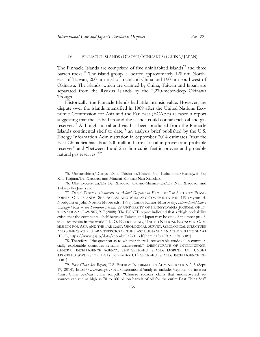#### <span id="page-18-0"></span>IV. PINNACLE ISLANDS (DIAOYU/SENKAKUS) (CHINA/JAPAN)

The Pinnacle Islands are comprised of five uninhabited islands<sup>75</sup> and three barren rocks.<sup>76</sup> The island group is located approximately 120 nm Northeast of Taiwan, 200 nm east of mainland China and 190 nm southwest of Okinawa. The islands, which are claimed by China, Taiwan and Japan, are separated from the Ryukus Islands by the 2,270-meter-deep Okinawa Trough.

Historically, the Pinnacle Islands had little intrinsic value. However, the dispute over the islands intensified in 1969 after the United Nations Economic Commission for Asia and the Far East (ECAFE) released a report suggesting that the seabed around the islands could contain rich oil and gas reserves.<sup>77</sup> Although no oil and gas has been produced from the Pinnacle Islands continental shelf to date,<sup>78</sup> an analysis brief published by the U.S. Energy Information Administration in September 2014 estimates "that the East China Sea has about 200 million barrels of oil in proven and probable reserves" and "between 1 and 2 trillion cubic feet in proven and probable natural gas reserves."<sup>79</sup>

<sup>75.</sup> Uotsurishima/Diaoyu Dao; Taisho-to/Chiwei Yu; Kubashima/Huangwei Yu; Kita-Kojima/Bei Xiaodao; and Minami-Kojima/Nan Xiaodao.

<sup>76.</sup> Oki-no-Kita-iwa/Da Bei Xiaodao; Oki-no-Minami-iwa/Da Nan Xiaodao; and Tobise/Fei Jiao Yan.

<sup>77.</sup> Daniel Dzurek, *Comments on "Island Disputes in East Asia*,*" in* SECURITY FLASH-POINTS: OIL, ISLANDS, SEA ACCESS AND MILITARY CONFRONTATION 419 (Myron H. Nordquist & John Norton Moore eds., 1998); Carlos Ramos-Mrosovsky, *International Law's Unhelpful Role in the Senkaku Islands*, 29 UNIVERSITY OF PENNSYLVANIA JOURNAL OF IN-TERNATIONAL LAW 903, 917 (2008). The ECAFE report indicated that a "high probability exists that the continental shelf between Taiwan and Japan may be one of the most prolific oil reservoirs in the world." K. O. EMERY ET AL., UNITED NATIONS ECONOMIC COM-MISSION FOR ASIA AND THE FAR EAST, GEOLOGICAL SURVEY, GEOLOGICAL STRUCTURE AND SOME WATER CHARACTERISTICS OF THE EAST CHINA SEA AND THE YELLOW SEA 41 (1969), https://www.gsj.jp/data/ccop-bull/2-01.pdf [hereinafter ECAFE REPORT].

<sup>78</sup>. Therefore, "the question as to whether there is recoverable crude oil in commercially exploitable quantities remains unanswered." DIRECTORATE OF INTELLIGENCE, CENTRAL INTELLIGENCE AGENCY, THE SENKAKU ISLANDS DISPUTE: OIL UNDER TROUBLED WATERS? 25 (1971) [hereinafter CIA SENKAKU ISLANDS INTELLIGENCE RE-PORT].

<sup>79.</sup> *East China Sea Report*, U.S. ENERGY INFORMATION ADMINISTRATION 2–3 (Sept. 17, 2014), [https://www.eia.gov/beta/international/analysis\\_includes/regions\\_of\\_interest](https://www.eia.gov/beta/international/analysis_includes/regions_of_interest/East_China_Sea/east_china_sea.pdf)  [/East\\_China\\_Sea/east\\_china\\_sea.pdf](https://www.eia.gov/beta/international/analysis_includes/regions_of_interest/East_China_Sea/east_china_sea.pdf). "Chinese sources claim that undiscovered resources can run as high as 70 to 160 billion barrels of oil for the entire East China Sea"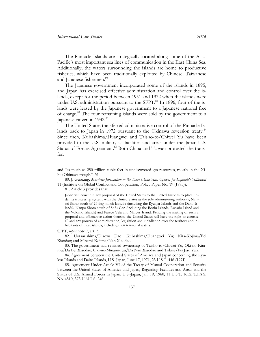The Pinnacle Islands are strategically located along some of the Asia-Pacific's most important sea lines of communication in the East China Sea. Additionally, the waters surrounding the islands are home to productive fisheries, which have been traditionally exploited by Chinese, Taiwanese and Japanese fishermen.<sup>80</sup>

The Japanese government incorporated some of the islands in 1895, and Japan has exercised effective administration and control over the islands, except for the period between 1951 and 1972 when the islands were under U.S. administration pursuant to the SFPT.<sup>81</sup> In 1896, four of the islands were leased by the Japanese government to a Japanese national free of charge.<sup>82</sup> The four remaining islands were sold by the government to a Japanese citizen in 1932.<sup>83</sup>

The United States transferred administrative control of the Pinnacle Islands back to Japan in 1972 pursuant to the Okinawa reversion treaty.<sup>84</sup> Since then, Kubashima/Huangwei and Taisho-to/Chiwei Yu have been provided to the U.S. military as facilities and areas under the Japan-U.S. Status of Forces Agreement.<sup>85</sup> Both China and Taiwan protested the transfer.

80. Ji Guoxing, *Maritime Jurisdiction in the Three China Seas: Options for Equitable Settlement* 11 (Institute on Global Conflict and Cooperation, Policy Paper No. 19 (1995)).

81. Article 3 provides that

Japan will concur in any proposal of the United States to the United Nations to place under its trusteeship system, with the United States as the sole administering authority, Nansei Shoto south of 29 deg. north latitude (including the Ryukyu Islands and the Daito Islands), Nanpo Shoto south of Sofu Gan (including the Bonin Islands, Rosario Island and the Volcano Islands) and Parece Vela and Marcus Island. Pending the making of such a proposal and affirmative action thereon, the United States will have the right to exercise all and any powers of administration, legislation and jurisdiction over the territory and inhabitants of these islands, including their territorial waters.

SFPT, *supra* note 7, art. 3.

 $\overline{a}$ 

82. Uotsurishima/Diaoyu Dao; Kubashima/Huangwei Yu; Kita-Kojima/Bei Xiaodao; and Minami-Kojima/Nan Xiaodao.

85. Agreement Under Article VI of the Treaty of Mutual Cooperation and Security between the United States of America and Japan, Regarding Facilities and Areas and the Status of U.S. Armed Forces in Japan, U.S.-Japan, Jan. 19, 1960, 11 U.S.T. 1652; T.I.A.S. No. 4510; 373 U.N.T.S. 248.

and "as much as 250 trillion cubic feet in undiscovered gas resources, mostly in the Xihu/Okinawa trough." *Id.*

<sup>83.</sup> The government had retained ownership of Taisho-to/Chiwei Yu, Oki-no-Kitaiwa/Da Bei Xiaodao, Oki-no-Minami-iwa/Da Nan Xiaodao and Tobise/Fei Jiao Yan.

<sup>84.</sup> Agreement between the United States of America and Japan concerning the Ryukyu Islands and Daito Islands, U.S.-Japan, June 17, 1971, 23 U.S.T. 446 (1971).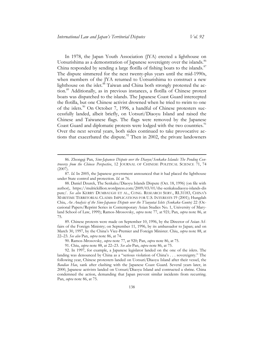In 1978, the Japan Youth Association (JYA) erected a lighthouse on Uotsurishima as a demonstration of Japanese sovereignty over the islands.<sup>86</sup> China responded by sending a large flotilla of fishing boats to the islands.<sup>87</sup> The dispute simmered for the next twenty-plus years until the mid-1990s, when members of the JYA returned to Uotsurishima to construct a new lighthouse on the islet.<sup>88</sup> Taiwan and China both strongly protested the action.<sup>89</sup> Additionally, as in previous instances, a flotilla of Chinese protest boats was dispatched to the islands. The Japanese Coast Guard intercepted the flotilla, but one Chinese activist drowned when he tried to swim to one of the islets.<sup>90</sup> On October 7, 1996, a handful of Chinese protesters successfully landed, albeit briefly, on Uotsuri/Diaoyu Island and raised the Chinese and Taiwanese flags. The flags were removed by the Japanese Coast Guard and diplomatic protests were lodged with the two countries.<sup>91</sup> Over the next several years, both sides continued to take provocative actions that exacerbated the dispute.<sup>92</sup> Then in 2002, the private landowners

<sup>86.</sup> Zhongqi Pan, *Sino-Japanese Dispute over the Diaoyu/Senkaku Islands: The Pending Controversy from the Chinese Perspective*, 12 JOURNAL OF CHINESE POLITICAL SCIENCE 71, 74 (2007).

<sup>87.</sup> *Id.* In 2005, the Japanese government announced that it had placed the lighthouse under State control and protection. *Id.* at 76.

<sup>88.</sup> Daniel Dzurek, The Senkaku/Diaoyu Islands Dispute (Oct. 18, 1996) (on file with author), [https://mulrickillion.wordpress.com/2009/03/01/the-senkakudiaoyu-islands-dis](https://mulrickillion.wordpress.com/2009/03/01/the-senkakudiaoyu-islands-dispute/)  [pute/.](https://mulrickillion.wordpress.com/2009/03/01/the-senkakudiaoyu-islands-dispute/) *See also* KERRY DUMBAUGH ET AL., CONG. RESEARCH SERV., RL31183, CHINA'S MARITIME TERRITORIAL CLAIMS: IMPLICATIONS FOR U.S. INTERESTS 19 (2001); Hungdah Chiu, *An Analysis of the Sino-Japanese Dispute over the T'iaoyutai Islets (Senkaku Gunto)* 22 (Occasional Papers/Reprint Series in Contemporary Asian Studies No. 1, University of Maryland School of Law, 1999); Ramos-Mrosovsky, *supra* note 77, at 921; Pan, *supra* note 86, at 75.

<sup>89.</sup> Chinese protests were made on September 10, 1996, by the Director of Asian Affairs of the Foreign Ministry; on September 11, 1996, by its ambassador to Japan; and on March 30, 1997, by the China's Vice-Premier and Foreign Minister. Chiu, *supra* note 88, at 22–23. *See also* Pan, *supra* note 86, at 74.

<sup>90.</sup> Ramos-Mrosovsky, *supra* note 77, at 920; Pan, *supra* note 86, at 75.

<sup>91.</sup> Chiu, *supra* note 88, at 22–23. *See also* Pan, *supra* note 86, at 75.

<sup>92.</sup> In 1997, for example, a Japanese legislator landed on the one of the islets. The landing was denounced by China as a "serious violation of China's . . . sovereignty." The following year, Chinese protesters landed on Uotsuri/Diaoyu Island after their vessel, the *Baodiao Hao*, sank after clashing with the Japanese Coast Guard. Several years later, in 2000, Japanese activists landed on Uotsuri/Diaoyu Island and contructed a shrine. China condemned the action, demanding that Japan prevent similar incidents from recurring. Pan, *supra* note 86, at 75.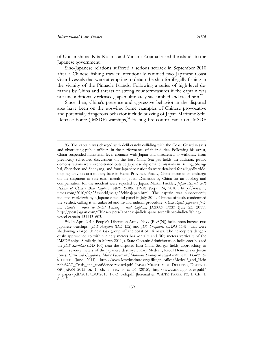of Uotsurishima, Kita-Kojima and Minami-Kojima leased the islands to the Japanese government.

Sino-Japanese relations suffered a serious setback in September 2010 after a Chinese fishing trawler intentionally rammed two Japanese Coast Guard vessels that were attempting to detain the ship for illegally fishing in the vicinity of the Pinnacle Islands. Following a series of high-level demands by China and threats of strong countermeasures if the captain was not unconditionally released, Japan ultimately succumbed and freed him.<sup>93</sup>

Since then, China's presence and aggressive behavior in the disputed area have been on the upswing. Some examples of Chinese provocative and potentially dangerous behavior include buzzing of Japan Maritime Self-Defense Force (JMSDF) warships, $94$  locking fire control radar on JMSDF

<sup>93.</sup> The captain was charged with deliberately colliding with the Coast Guard vessels and obstructing public officers in the performance of their duties. Following his arrest, China suspended ministerial-level contacts with Japan and threatened to withdraw from previously scheduled discussions on the East China Sea gas fields. In addition, public demonstrations were orchestrated outside Japanese diplomatic missions in Beijing, Shanghai, Shenzhen and Shenyang, and four Japanese nationals were detained for allegedly videotaping activities at a military base in Hebei Province. Finally, China imposed an embargo on the shipment of rare earth metals to Japan. Demands by China for an apology and compensation for the incident were rejected by Japan. Martin Fackler, *Japan Retreats with Release of Chinese Boat Captain*, NEW YORK TIMES (Sept. 24, 2010), [http://www.ny](http://www.nytimes.com/2010/09/25/world/asia/25chinajapan.html)  [times.com/2010/09/25/world/asia/25chinajapan.html.](http://www.nytimes.com/2010/09/25/world/asia/25chinajapan.html) The captain was subsequently indicted *in abstentia* by a Japanese judicial panel in July 2011. Chinese officials condemned the verdict, calling it an unlawful and invalid judicial procedure. *China Rejects Japanese Judicial Panel's Verdict to Indict Fishing Vessel Captain*, JAGRAN POST (July 23, 2011), [http://post.jagran.com/China-rejects-Japanese-judicial-panels-verdict-to-indict-fishing](http://post.jagran.com/China-rejects-Japanese-judicial-panels-verdict-to-indict-fishing-vessel-captain-1311431603)[vessel-captain-1311431603.](http://post.jagran.com/China-rejects-Japanese-judicial-panels-verdict-to-indict-fishing-vessel-captain-1311431603)

<sup>94.</sup> In April 2010, People's Liberation Army–Navy (PLA(N)) helicopters buzzed two Japanese warships—*JDS Asayuki* (DD 132) and *JDS Suzunami* (DDG 114)—that were shadowing a large Chinese task group off the coast of Okinawa. The helicopters dangerously approached to within ninety meters horizontally and fifty meters vertically of the JMSDF ships. Similarly, in March 2011, a State Oceanic Administration helicopter buzzed the *JDS Samidare* (DD 106) near the disputed East China Sea gas fields, approaching to within seventy meters of the Japanese destroyer. Rory Medcalf, Raoul Heinrichs & Justin Jones, *Crisis and Confidence: Major Powers and Maritime Security in Indo-Pacific Asia*, LOWY IN-STITUTE (June 2011), [http://www.lowyinstitute.org/files/pubfiles/Medcalf\\_and\\_Hein](http://www.lowyinstitute.org/files/pubfiles/Medcalf_and_Heinrichs%2C_Crisis_and_confidence-revised.pdf)  [richs%2C\\_Crisis\\_and\\_confidence-revised.pdf;](http://www.lowyinstitute.org/files/pubfiles/Medcalf_and_Heinrichs%2C_Crisis_and_confidence-revised.pdf) JAPAN MINISTRY OF DEFENSE, DEFENSE OF JAPAN 2015 pt. 1, ch. 3, sec. 3, at 36 (2015), http://www.mod.go.jp/e/publ/ [w\\_paper/pdf/2015/DOJ2015\\_1-1-3\\_web.pdf](http://www.mod.go.jp/e/publ/w_paper/pdf/2015/DOJ2015_1-1-3_web.pdf) [hereinafter WHITE PAPER PT. I, CH. 1, SEC. 3].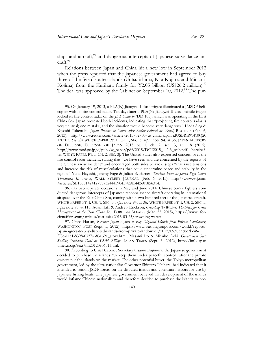ships and aircraft,<sup>95</sup> and dangerous intercepts of Japanese surveillance air $craft.<sup>96</sup>$ 

Relations between Japan and China hit a new low in September 2012 when the press reported that the Japanese government had agreed to buy three of the five disputed islands (Uotsurishima, Kita-Kojima and Minami-Kojima) from the Kurihara family for ¥2.05 billion (US\$26.2 million).<sup>97</sup> The deal was approved by the Cabinet on September 10, 2012.<sup>98</sup> The pur-

96. On two separate occasions in May and June 2014, Chinese Su-27 fighters conducted dangerous intercepts of Japanese reconnaissance aircraft operating in international airspace over the East China Sea, coming within two hundred feet of the Japanese aircraft. WHITE PAPER PT. I, CH. 1, SEC. 3, *supra* note 94, at 36; WHITE PAPER PT. I, CH. 2, SEC. 3, *supra* note 95, at 118; Adam Liff & Andrew Erickson, *Crowding the Waters: The Need for Crisis Management in the East China Sea*, FOREIGN AFFAIRS (Mar. 23, 2015), [https://www. for](https://www.foreignaffairs.com/articles/east-asia/2015-03-23/crowding-waters)[eignaffairs.com/articles/east-asia/2015-03-23/crowding-waters.](https://www.foreignaffairs.com/articles/east-asia/2015-03-23/crowding-waters)

97. Chico Harlan, *Reports: Japan Agrees to Buy Disputed Islands from Private Landowner*, WASHINGTON POST (Sept. 5, 2012), [https://www.washingtonpost.com/world/reports](https://www.washingtonpost.com/world/reports-japan-agrees-to-buy-disputed-islands-from-private-landowner/2012/09/05/c8c7bc46-f73c-11e1-8398-0327ab83ab91_story.html)[japan-agrees-to-buy-disputed-islands-from-private-landowner/2012/09/05/c8c7bc46-](https://www.washingtonpost.com/world/reports-japan-agrees-to-buy-disputed-islands-from-private-landowner/2012/09/05/c8c7bc46-f73c-11e1-8398-0327ab83ab91_story.html)

98. According to Chief Cabinet Secretary Osamu Fujimura, the Japanese government decided to purchase the islands "to keep them under peaceful control" after the private owners put the islands on the market. The other potential buyer, the Tokyo metropolitan government, led by the ultra-nationalist Governor Shintaro Ishihara, had indicated that it intended to station JSDF forces on the disputed islands and construct harbors for use by Japanese fishing boats. The Japanese government believed that development of the islands would inflame Chinese nationalism and therefore decided to purchase the islands to pre-

<sup>95.</sup> On January 19, 2013, a PLA(N) Jiangwei-I class frigate illuminated a JMSDF helicopter with its fire control radar. Ten days later a PLA(N) Jiangwei-II class missile frigate locked its fire control radar on the *JDS Yudachi* (DD 103), which was operating in the East China Sea. Japan protested both incidents, indicating that "projecting fire control radar is very unusual; one mistake, and the situation would become very dangerous." Linda Sieg & Kiyoshi Takenaka, *Japan Protests to China after Radar Pointed at Vessel*, REUTERS (Feb. 6, 2013), [http://www.reuters.com/article/2013/02/05/us-china-japan-idUSBRE91410Q20](http://www.reuters.com/article/2013/02/05/us-china-japan-idUSBRE91410Q20130205)  [130205.](http://www.reuters.com/article/2013/02/05/us-china-japan-idUSBRE91410Q20130205) *See also* WHITE PAPER PT. I, CH. 1, SEC. 3, *supra* note 94, at 36; JAPAN MINISTRY OF DEFENSE, DEFENSE OF JAPAN 2015 pt. 1, ch. 2, sec. 3, at 118 (2015), http://www.mod.go.jp/e/publ/w\_paper/pdf/2015/DOJ2015\_1-2-3\_web.pdf [hereinafter WHITE PAPER PT. I, CH. 2, SEC. 3]. The United States also expressed concern over the fire control radar incident, stating that "we have seen and are concerned by the reports of the Chinese radar incident" and encouraged both sides to avoid steps "that raise tensions and increase the risk of miscalculations that could undermine peace and stability in the region." Yuka Hayashi, Jeremy Page & Julian E. Barnes, *Tensions Flare as Japan Says China Threatened Its Forces*, WALL STREET JOURNAL (Feb. 6, 2013), [http://www.wsj.com](http://www.wsj.com/articles/SB10001424127887324445904578285442601856314)  [/articles/SB10001424127887324445904578285442601856314.](http://www.wsj.com/articles/SB10001424127887324445904578285442601856314)

[f73c-11e1-8398-0327ab83ab91\\_story.html;](https://www.washingtonpost.com/world/reports-japan-agrees-to-buy-disputed-islands-from-private-landowner/2012/09/05/c8c7bc46-f73c-11e1-8398-0327ab83ab91_story.html) Masami Ito & Mizuho Aoki, *Government Seen Sealing Senkaku Deal at ¥2.05 Billing*, JAPAN TIMES (Sept. 6, 2012), [http://info.japan](http://info.japantimes.co.jp/text/nn20120906a1.html)  [times.co.jp/text/nn20120906a1.html.](http://info.japantimes.co.jp/text/nn20120906a1.html)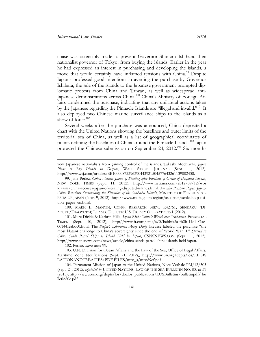chase was ostensibly made to prevent Governor Shintaro Ishihara, then nationalist governor of Tokyo, from buying the islands. Earlier in the year he had expressed an interest in purchasing and developing the islands, a move that would certainly have inflamed tensions with China.<sup>99</sup> Despite Japan's professed good intentions in averting the purchase by Governor Ishihara, the sale of the islands to the Japanese government prompted diplomatic protests from China and Taiwan, as well as widespread anti-Japanese demonstrations across China.<sup>100</sup> China's Ministry of Foreign Affairs condemned the purchase, indicating that any unilateral actions taken by the Japanese regarding the Pinnacle Islands are "illegal and invalid."<sup>101</sup> It also deployed two Chinese marine surveillance ships to the islands as a show of force.<sup>102</sup>

Several weeks after the purchase was announced, China deposited a chart with the United Nations showing the baselines and outer limits of the territorial sea of China, as well as a list of geographical coordinates of points defining the baselines of China around the Pinnacle Islands.<sup>103</sup> Japan protested the Chinese submission on September 24, 2012.<sup>104</sup> Six months

100. MARK E. MANYIN, CONG. RESEARCH SERV., R42761, SENKAKU (DI-AOUYU/DIAOYUTAI) ISLANDS DISPUTE: U.S. TREATY OBLIGATIONS 1 (2012).

101. Mure Dickie & Kathrin Hille, *Japan Risks China's Wrath over Senkakua*, FINANCIAL TIMES (Sept. 10, 2012), http://www.ft.com/cms/s/0/babbfa2a-fb2b-11e1-87ae-00144feabdc0.html. The *People's Liberation Army Daily* likewise labeled the purchase "the most blatant challenge to China's sovereignty since the end of World War II." *Quoted in China Sends Patrol Ships to Island Held by Japan*, CSNSNEWS.COM (Sept. 11, 2012), http://www.cnsnews.com/news/article/china-sends-patrol-ships-islands-held-japan.

102. Perlez, *supra* note 99.

 $\overline{a}$ 

103. U.N. Division for Ocean Affairs and the Law of the Sea, Office of Legal Affairs, Maritime Zone Notifications (Sept. 21, 2012),, [http://www.un.org/depts/los/LEGIS](http://www.un.org/depts/los/LEGISLATIONANDTREATIES/PDFFILES/mzn_s/mzn89ef.pdf)  [LATIONANDTREATIES/PDF FILES/mzn\\_s/mzn89ef.pdf.](http://www.un.org/depts/los/LEGISLATIONANDTREATIES/PDFFILES/mzn_s/mzn89ef.pdf)

vent Japanese nationalists from gaining control of the islands. Takashi Mochizuki, *Japan Plans to Buy Islands in Dispute*, WALL STREET JOURNAL (Sept. 11, 2012), [http://www.wsj.com/articles/SB10000872396390443921504577643261139002438.](http://www.wsj.com/articles/SB10000872396390443921504577643261139002438)

<sup>99.</sup> Jane Perlez, *China Accuses Japan of Stealing after Purchase of Group of Disputed Islands*, NEW YORK TIMES (Sept. 11, 2012), [http://www.nytimes.com/2012/09/12/wor](http://www.nytimes.com/2012/09/12/world/asia/china-accuses-japan-of-stealing-disputed-islands.html) [ld/asia/china-accuses-japan-of-stealing-disputed-islands.html.](http://www.nytimes.com/2012/09/12/world/asia/china-accuses-japan-of-stealing-disputed-islands.html) *See also Position Paper: Japan-China Relations Surrounding the Situation of the Senkaku Islands*, MINISTRY OF FOREIGN AF-FAIRS OF JAPAN (Nov. 9, 2012), [http://www.mofa.go.jp/region/asia-paci/senkaku/p osi](http://www.mofa.go.jp/region/asia-paci/senkaku/position_paper_en.html)[tion\\_paper\\_en.html.](http://www.mofa.go.jp/region/asia-paci/senkaku/position_paper_en.html)

<sup>104.</sup> Permanent Mission of Japan to the United Nations, Note Verbale PM/12/303 (Sept. 24, 2012), *reprinted in* UNITED NATIONS, LAW OF THE SEA BULLETIN NO. 80, at 39 (2013), [http://www.un.org/depts/los/doalos\\_publications/LOSBulletins/bulletinpdf/ bu](http://www.un.org/depts/los/doalos_publications/LOSBulletins/bulletinpdf/bulletin80e.pdf)  [lletin80e.pdf.](http://www.un.org/depts/los/doalos_publications/LOSBulletins/bulletinpdf/bulletin80e.pdf)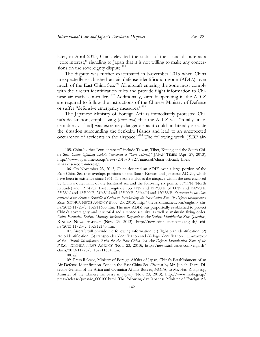later, in April 2013, China elevated the status of the island dispute as a "core interest," signaling to Japan that it is not willing to make any concessions on the sovereignty dispute. $105$ 

The dispute was further exacerbated in November 2013 when China unexpectedly established an air defense identification zone (ADIZ) over much of the East China Sea.<sup>106</sup> All aircraft entering the zone must comply with the aircraft identification rules and provide flight information to Chinese air traffic controllers.<sup>107</sup> Additionally, aircraft operating in the ADIZ are required to follow the instructions of the Chinese Ministry of Defense or suffer "defensive emergency measures."<sup>108</sup>

The Japanese Ministry of Foreign Affairs immediately protested China's declaration, emphasizing (*inter alia*) that the ADIZ was "totally unacceptable . . . [and] was extremely dangerous as it could unilaterally escalate the situation surrounding the Senkaku Islands and lead to an unexpected occurrence of accidents in the airspace."<sup>109</sup> The following week, JSDF air-

108. *Id.*

 $\overline{a}$ 

109. Press Release, Ministry of Foreign Affairs of Japan, China's Establishment of an Air Defense Identification Zone in the East China Sea (Protest by Mr. Junichi Ihara, Director-General of the Asian and Oceanian Affairs Bureau, MOFA, to Mr. Han Zhingiang, Minister of the Chinese Embassy in Japan) (Nov. 23, 2013), [http://www.mofa.go.jp/](http://www.mofa.go.jp/press/release/press4e_000100.html)  [press/release/press4e\\_000100.html.](http://www.mofa.go.jp/press/release/press4e_000100.html) The following day Japanese Minister of Foreign Af-

<sup>105.</sup> China's other "core interests" include Taiwan, Tibet, Xinjing and the South China Sea. *China Officially Labels Senkakus a "Core Interest*,*"* JAPAN TIMES (Apr. 27, 2013), [http://www.japantimes.co.jp/news/2013/04/27/national/china-officially-labels](http://www.japantimes.co.jp/news/2013/04/27/national/china-officially-labels-senkakus-a-core-interest/)[senkakus-a-core-interest/.](http://www.japantimes.co.jp/news/2013/04/27/national/china-officially-labels-senkakus-a-core-interest/) 

<sup>106.</sup> On November 23, 2013, China declared an ADIZ over a large portion of the East China Sea that overlaps portions of the South Korean and Japanese ADIZs, which have been in existence since 1951. The zone includes the airspace within the area enclosed by China's outer limit of the territorial sea and the following six points: 33º11'N (North Latitude) and 121º47'E (East Longitude), 33º11'N and 125º00'E, 31º00'N and 128º20'E, 25º38'N and 125º00'E, 24º45'N and 123º00'E, 26º44'N and 120º58'E. *Statement by the Government of the People's Republic of China on Establishing the East China Sea Air Defense Identification Zone*, XINHUA NEWS AGENCY (Nov. 23, 2013), [http://news.xinhuanet.com/english/ chi](http://news.xinhuanet.com/english/china/2013-11/23/c_132911635.htm)[na/2013-11/23/c\\_132911635.htm.](http://news.xinhuanet.com/english/china/2013-11/23/c_132911635.htm) The new ADIZ was purportedly established to protect China's sovereignty and territorial and airspace security, as well as maintain flying order. *China Exclusive: Defense Ministry Spokesman Responds to Air Defense Identification Zone Questions*, XINHUA NEWS AGENCY (Nov. 23, 2013), [http://news.xinhuanet.com/english/ chi](http://news.xinhuanet.com/english/china/2013-11/23/c_132912145.htm)[na/2013-11/23/c\\_132912145.htm.](http://news.xinhuanet.com/english/china/2013-11/23/c_132912145.htm)

<sup>107.</sup> Aircraft will provide the following information: (1) flight plan identification, (2) radio identification, (3) transponder identification and (4) logo identification. *Announcement of the Aircraft Identification Rules for the East China Sea Air Defense Identification Zone of the P.R.C.*, XINHUA NEWS AGENCY (Nov. 23, 2013), [http://news.xinhuanet.com/english/](http://news.xinhuanet.com/english/china/2013-11/23/c_132911634.htm)  [china/2013-11/23/c\\_132911634.htm.](http://news.xinhuanet.com/english/china/2013-11/23/c_132911634.htm)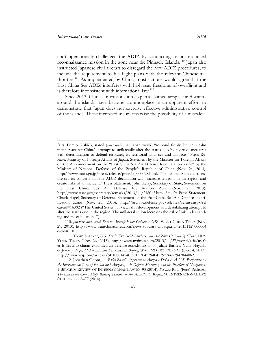craft operationally challenged the ADIZ by conducting an unannounced reconnaissance mission in the zone near the Pinnacle Islands.<sup>110</sup> Japan also instructed Japanese civil aircraft to disregard the new ADIZ procedures, to include the requirement to file flight plans with the relevant Chinese authorities.<sup>111</sup> As implemented by China, most nations would agree that the East China Sea ADIZ interferes with high seas freedoms of overflight and is therefore inconsistent with international law.<sup>112</sup>

Since 2013, Chinese intrusions into Japan's claimed airspace and waters around the islands have become commonplace in an apparent effort to demonstrate that Japan does not exercise effective administrative control of the islands. These increased incursions raise the possibility of a miscalcu-

fairs, Fumio Kishida, stated (*inter alia*) that Japan would "respond firmly, but in a calm manner against China's attempt to unilaterally alter the status quo by coercive measures with determination to defend resolutely its territorial land, sea and airspace." Press Release, Ministry of Foreign Affairs of Japan, Statement by the Minister for Foreign Affairs on the Announcement on the "East China Sea Air Defense Identification Zone" by the Ministry of National Defense of the People's Republic of China (Nov. 24, 2013), [http://www.mofa.go.jp/press/release/press4e\\_000098.html.](http://www.mofa.go.jp/press/release/press4e_000098.html) The United States also expressed its concern that the ADIZ declaration will "increase tensions in the region and create risks of an incident." Press Statement, John Kerry, Secretary of State, Statement on the East China Sea Air Defense Identification Zone (Nov. 23, 2013), [http://www.state.gov/secretary/remarks/2013/11/218013.htm.](http://www.state.gov/secretary/remarks/2013/11/218013.htm) S*ee also* Press Statement, Chuck Hagel, Secretary of Defense, Statement on the East China Sea Air Defense Identification Zone (Nov. 23, 2013), [http://archive.defense.gov/releases/release.aspx?rel](http://archive.defense.gov/releases/release.aspx?releaseid=16392)  [easeid=16392](http://archive.defense.gov/releases/release.aspx?releaseid=16392) ("The United States . . . views this development as a destabilizing attempt to alter the status quo in the region. The unilateral action increases the risk of misunderstanding and miscalculations.").

<sup>110.</sup> *Japanese and South Korean Aircraft Enter Chinese ADIZ*, WANT CHINA TIMES (Nov. 29, 2013), [http://www.wantchinatimes.com/news-subclass-cnt.aspx?id=20131129000064](http://www.wantchinatimes.com/news-subclass-cnt.aspx?id=20131129000064&cid=1101)  [&cid=1101.](http://www.wantchinatimes.com/news-subclass-cnt.aspx?id=20131129000064&cid=1101)

<sup>111.</sup> Thom Shanker, *U.S. Sends Two B-52 Bombers into Air Zone Claimed by China*, NEW YORK TIMES (Nov. 26, 2013), [http://www.nytimes.com/2013/11/27/world/asia/us-fli](http://www.nytimes.com/2013/11/27/world/asia/us-flies-b-52s-into-chinas-expanded-air-defense-zone.html?_r=0)  [es-b-52s-into-chinas-expanded-air-defense-zone.html?\\_r=0;](http://www.nytimes.com/2013/11/27/world/asia/us-flies-b-52s-into-chinas-expanded-air-defense-zone.html?_r=0) Julian Barnes, Yuka Hayashi & Jeremy Page, *Stakes Escalate For Biden in Beijing*, WALL STREET JOURNAL (Dec. 4, 2013), [http://www.wsj.com/articles/SB10001424052702304579404579236652947844062.](http://www.wsj.com/articles/SB10001424052702304579404579236652947844062)

<sup>112.</sup> Jonathan Odom, *A 'Rules-Based' Approach to Airspace Defense: A U.S. Perspective on the International Law of the Sea and Airspace, Air Defense Measures, and the Freedom of Navigation*, 1 BELGIUM REVIEW OF INTERNATIONAL LAW 65–93 (2014). *See also* Raul (Pete) Pedrozo, *The Bull in the China Shop: Raising Tensions in the Asia-Pacific Region*, 90 INTERNATIONAL LAW STUDIES 66, 68–77 (2014).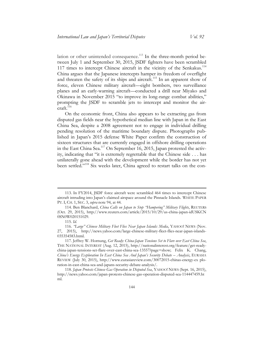lation or other unintended consequence.<sup>113</sup> In the three-month period between July 1 and September 30, 2015, JSDF fighters have been scrambled 117 times to intercept Chinese aircraft in the vicinity of the Senkakus.<sup>114</sup> China argues that the Japanese intercepts hamper its freedom of overflight and threaten the safety of its ships and aircraft.<sup>115</sup> In an apparent show of force, eleven Chinese military aircraft—eight bombers, two surveillance planes and an early-warning aircraft—conducted a drill near Miyako and Okinawa in November 2015 "to improve its long-range combat abilities," prompting the JSDF to scramble jets to intercept and monitor the air $craft.<sup>116</sup>$ 

On the economic front, China also appears to be extracting gas from disputed gas fields near the hypothetical median line with Japan in the East China Sea, despite a 2008 agreement not to engage in individual drilling pending resolution of the maritime boundary dispute. Photographs published in Japan's 2015 defense White Paper confirm the construction of sixteen structures that are currently engaged in offshore drilling operations in the East China Sea.<sup>117</sup> On September 16, 2015, Japan protested the activity, indicating that "it is extremely regrettable that the Chinese side . . . has unilaterally gone ahead with the development while the border has not yet been settled."<sup>118</sup> Six weeks later, China agreed to restart talks on the con-

 $\overline{a}$ 

<sup>113.</sup> In FY2014, JSDF force aircraft were scrambled 464 times to intercept Chinese aircraft intruding into Japan's claimed airspace around the Pinnacle Islands. WHITE PAPER PT. I, CH. 1, SEC. 3, *supra* note 94, at 44.

<sup>114.</sup> [Ben Blanchard,](http://blogs.reuters.com/search/journalist.php?edition=us&n=ben.blanchard&) *China Calls on Japan to Stop "Hampering" Military Flights*, REUTERS (Oct. 29, 2015), [http://www.reuters.com/article/2015/10/29/us-china-japan-idUSKCN](http://www.reuters.com/article/2015/10/29/us-china-japan-idUSKCN0SN0W020151029)  [0SN0W020151029.](http://www.reuters.com/article/2015/10/29/us-china-japan-idUSKCN0SN0W020151029)

<sup>115.</sup> *Id.*

<sup>116.</sup> *"Large" Chinese Military Fleet Flies Near Japan Islands: Media*, YAHOO! NEWS (Nov. 27, 2015), [http://news.yahoo.com/large-chinese-military-fleet-flies-near-japan-islands-](http://news.yahoo.com/large-chinese-military-fleet-flies-near-japan-islands-035354583.html)[035354583.html.](http://news.yahoo.com/large-chinese-military-fleet-flies-near-japan-islands-035354583.html)

<sup>117.</sup> Jeffrey W. Hornung, *Get Ready: China-Japan Tensions Set to Flare over East China Sea*, THE NATIONAL INTEREST (Aug. 12, 2015), [http://nationalinterest.org/feature/get-ready](http://nationalinterest.org/feature/get-ready-china-japan-tensions-set-flare-over-east-china-sea-13557?page=show)[china-japan-tensions-set-flare-over-east-china-sea-13557?page=show;](http://nationalinterest.org/feature/get-ready-china-japan-tensions-set-flare-over-east-china-sea-13557?page=show) Felix K. Chang, *China's Energy Exploration In East China Sea And Japan's Security Debate – Analysis*, E[URASIA](http://www.eurasiareview.com/author/fpri/) REVIEW (July 30, 2015), [http://www.eurasiareview.com/30072015-chinas-energy-ex plo](http://www.eurasiareview.com/30072015-chinas-energy-exploration-in-east-china-sea-and-japans-security-debate-analysis/)[ration-in-east-china-sea-and-japans-security-debate-analysis/.](http://www.eurasiareview.com/30072015-chinas-energy-exploration-in-east-china-sea-and-japans-security-debate-analysis/)

<sup>118.</sup> *Japan Protests Chinese Gas Operation in Disputed Sea*, YAHOO! NEWS (Sept. 16, 2015), [http://news.yahoo.com/japan-protests-chinese-gas-operation-disputed-sea-114447459.ht](http://news.yahoo.com/japan-protests-chinese-gas-operation-disputed-sea-114447459.html)  [ml.](http://news.yahoo.com/japan-protests-chinese-gas-operation-disputed-sea-114447459.html)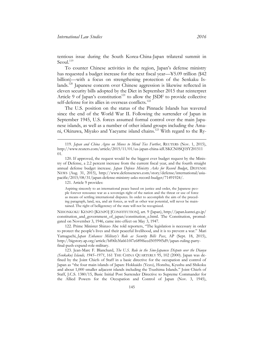tentious issue during the South Korea-China-Japan trilateral summit in Seoul. $119$ 

To counter Chinese activities in the region, Japan's defense ministry has requested a budget increase for the next fiscal year—¥5.09 trillion (\$42 billion)—with a focus on strengthening protection of the Senkaku Islands.<sup>120</sup> Japanese concern over Chinese aggression is likewise reflected in eleven security bills adopted by the Diet in September 2015 that reinterpret Article 9 of Japan's constitution<sup>121</sup> to allow the JSDF to provide collective self-defense for its allies in overseas conflicts.<sup>122</sup>

The U.S. position on the status of the Pinnacle Islands has wavered since the end of the World War II. Following the surrender of Japan in September 1945, U.S. forces assumed formal control over the main Japanese islands, as well as a number of other island groups including the Amani, Okinawa, Miyako and Yaeyame island chains.<sup>123</sup> With regard to the Ry-

121. Article 9 provides:

 $\overline{a}$ 

Aspiring sincerely to an international peace based on justice and order, the Japanese people forever renounce war as a sovereign right of the nation and the threat or use of force as means of settling international disputes. In order to accomplish the aim of the preceding paragraph, land, sea, and air forces, as well as other war potential, will never be maintained. The right of belligerency of the state will not be recognized.

NIHONKOKU KENPŌ [KENPŌ] [CONSTITUTION], art. 9 (Japan), [http://japan.kantei.go.jp/](http://japan.kantei.go.jp/constitution_and_government_of_japan/constitution_e.html)  [constitution\\_and\\_government\\_of\\_japan/constitution\\_e.html.](http://japan.kantei.go.jp/constitution_and_government_of_japan/constitution_e.html) The Constitution, promulgated on November 3, 1946, came into effect on May 3, 1947.

122. Prime Minister Shinzo Abe told reporters, "The legislation is necessary in order to protect the people's lives and their peaceful livelihood, and it is to prevent a war." Mari Yamaguchi, *Japan Enhances Military's Role as Security Bills Pass*, AP (Sept. 18, 2015), http://bigstory.ap.org/article/bf06b3fa661f47e689f6ccd50599f5d9/japan-ruling-partyfinal-push-expand-role-military.

123. Jean-Marc F. Blanchard, *The U.S. Role in the Sino-Japanese Dispute over the Diaoyu (Senkaku) Islands, 1945–1971*, 161 THE CHINA QUARTERLY 95, 102 (2000). Japan was defined by the Joint Chiefs of Staff in a basic directive for the occupation and control of Japan as "the four main islands of Japan: Hokkaido (Yezo), Honshu, Kyushu and Shikoku and about 1,000 smaller adjacent islands including the Tsushima Islands." Joint Chiefs of Staff, J.C.S. 1380/15, Basic Initial Post Surrender Directive to Supreme Commander for the Allied Powers for the Occupation and Control of Japan (Nov. 3, 1945),

<sup>119.</sup> *Japan and China Agree on Moves to Mend Ties Further*, REUTERS (Nov. 1, 2015), [http://www.reuters.com/article/2015/11/01/us-japan-china-idUSKCN0SQ1SY201511](http://www.reuters.com/article/2015/11/01/us-japan-china-idUSKCN0SQ1SY20151101)  [01.](http://www.reuters.com/article/2015/11/01/us-japan-china-idUSKCN0SQ1SY20151101) 

<sup>120.</sup> If approved, the request would be the biggest ever budget request by the Ministry of Defense, a 2.2 percent increase from the current fiscal year, and the fourth straight annual defense budget increase. *Japan Defense Ministry Asks for Record Budge*t, DEFENSE NEWS (Aug. 31, 2015), [http://www.defensenews.com/story/defense/international/asia](http://www.defensenews.com/story/defense/international/asia-pacific/2015/08/31/japan-defense-ministry-asks-record-budget/71491924/)[pacific/2015/08/31/japan-defense-ministry-asks-record-budget/71491924/.](http://www.defensenews.com/story/defense/international/asia-pacific/2015/08/31/japan-defense-ministry-asks-record-budget/71491924/)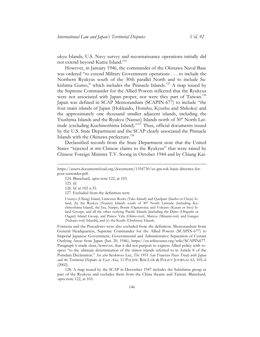ukyu Islands, U.S. Navy survey and reconnaissance operations initially did not extend beyond Kume Island.<sup>124</sup>

However, in January 1946, the commander of the Okinawa Naval Base was ordered "to extend Military Government operations . . . to include the Northern Ryukyus south of the 30th parallel North and to include Sakishima Gunto," which includes the Pinnacle Islands.<sup>125</sup> A map issued by the Supreme Commander for the Allied Powers reflected that the Ryukyus were not associated with Japan proper, nor were they part of Taiwan.<sup>126</sup> Japan was defined in SCAP Memorandum (SCAPIN-677) to include "the four main islands of Japan (Hokkaido, Honshu, Kyushu and Shikoku) and the approximately one thousand smaller adjacent islands, including the Tsushima Islands and the Ryukyu (Nansei) Islands north of 30° North Latitude (excluding Kuchinoshima Island)."<sup>127</sup> Thus, official documents issued by the U.S. State Department and the SCAP clearly associated the Pinnacle Islands with the Okinawa prefecture.<sup>128</sup>

Declassified records from the State Department note that the United States "rejected *in toto* Chinese claims to the Ryukyus" that were raised by Chinese Foreign Minister T.V. Soong in October 1944 and by Chiang Kai-

 $\overline{a}$ 

Formosa and the Pescadores were also excluded from the definition. Memorandum from General Headquarters, Supreme Commander for the Allied Powers (SCAPIN-677) to Imperial Japanese Government, Governmental and Administrative Separation of Certain Outlying Areas from Japan (Jan. 20, 1946), https://en.wikisource.org/wiki/SCAPIN677. Paragraph 6 made clear, however, that it did not purport to express Allied policy with respect "to the ultimate determination of the minor islands referred to in Article 8 of the Potsdam Declaration." *See also* Seokwoo Lee, *The 1951 San Francisco Peace Treaty with Japan and the Territorial Disputes in East Asia*, 11 PACIFIC RIM LAW & POLICY JOURNAL 63, 105–6 (2002).

128. A map issued by the SCAP in December 1947 includes the Sakishima group as part of the Ryukyus and excludes them from the China theatre and Taiwan. Blanchard, *supra* note 122, at 103.

[https://assets.documentcloud.org/documents/1354730/us-jpn-rok-basic-directice-for](https://assets.documentcloud.org/documents/1354730/us-jpn-rok-basic-directice-for-post-surrender.pdf)[post-surrender.pdf.](https://assets.documentcloud.org/documents/1354730/us-jpn-rok-basic-directice-for-post-surrender.pdf)

<sup>124.</sup> Blanchard, *supra* note 122, at 103.

<sup>125.</sup> *Id.*

<sup>126.</sup> *Id.* at 102 n.35.

<sup>127.</sup> Excluded from the definition were

Utsuryo (Ullung) Island, Liancourt Rocks (Take Island) and Quelpart (Saishu or Cheju) Island, (b) the Ryukyu (Nansei) Islands south of 30° North Latitude (including Kuchinoshima Island), the Izu, Nanpo, Bonin (Ogasawara) and Volcano (Kazan or Iwo) Island Groups, and all the other outlying Pacific Islands [including the Daito (Ohigashi or Oagari) Island Group, and Parece Vela (Okino-tori), Marcus (Minami-tori) and Ganges (Nakano-tori) Islands], and (c) the Kurile (Chishima) Islands.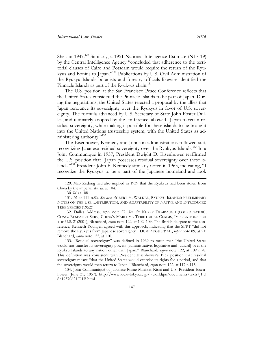Shek in 1947.<sup>129</sup> Similarly, a 1951 National Intelligence Estimate (NIE-19) by the Central Intelligence Agency "concluded that adherence to the territorial clauses of Cairo and Potsdam would require the return of the Ryukyus and Bonins to Japan."<sup>130</sup> Publications by U.S. Civil Administration of the Ryukyu Islands botanists and forestry officials likewise identified the Pinnacle Islands as part of the Ryukyus chain.<sup>131</sup>

The U.S. position at the San Francisco Peace Conference reflects that the United States considered the Pinnacle Islands to be part of Japan. During the negotiations, the United States rejected a proposal by the allies that Japan renounce its sovereignty over the Ryukyus in favor of U.S. sovereignty. The formula advanced by U.S. Secretary of State John Foster Dulles, and ultimately adopted by the conference, allowed "Japan to retain residual sovereignty, while making it possible for these islands to he brought into the United Nations trusteeship system, with the United States as administering authority."<sup>132</sup>

The Eisenhower, Kennedy and Johnson administrations followed suit, recognizing Japanese residual sovereignty over the Ryukyus Islands.<sup>133</sup> In a Joint Communiqué in 1957, President Dwight D. Eisenhower reaffirmed the U.S. position that "Japan possesses residual sovereignty over these islands."<sup>134</sup> President John F. Kennedy similarly noted in 1963, indicating, "I recognize the Ryukyus to be a part of the Japanese homeland and look

 $\overline{a}$ 

133. "Residual sovereignty" was defined in 1969 to mean that "the United States would not transfer its sovereignty powers [administrative, legislative and judicial] over the Ryukyu Islands to any nation other than Japan." Blanchard, *supra* note 122, at 109 n.78. This definition was consistent with President Eisenhower's 1957 position that residual sovereignty meant "that the United States would exercise its rights for a period, and that the sovereignty would then return to Japan." Blanchard, *supra* note 122, at 117 n.115.

<sup>129.</sup> Mao Zedong had also implied in 1939 that the Ryukyus had been stolen from China by the imperialists. *Id.* at 104.

<sup>130.</sup> *Id.* at 108.

<sup>131.</sup> *Id.* at 111 n.86. *See also* EGBERT H. WALKER, RYUKYU ISLANDS: PRELIMINARY NOTES ON THE USE, DISTRIBUTION, AND ADAPTABILITY OF NATIVE AND INTRODUCED TREE SPECIES (1952)).

<sup>132.</sup> Dulles Address, *supra* note 27. *See also* KERRY DUMBAUGH (COORDINATOR), CONG. RESEARCH SERV, CHINA'S MARITIME TERRITORIAL CLAIMS, IMPLICATIONS FOR THE U.S. 21(2001); Blanchard, *supra* note 122, at 102, 109. The British delegate to the conference, Kenneth Younger, agreed with this approach, indicating that the SFPT "did not remove the Ryukyus from Japanese sovereignty." DUMBAUGH ET AL., *supra* note 89, at 21; Blanchard, *supra* note 122, at 110.

<sup>134.</sup> Joint Communiqué of Japanese Prime Minister Kishi and U.S. President Eisenhower (June 21, 1957), [http://www.ioc.u-tokyo.ac.jp/~worldjpn/documents/texts/JPU](http://www.ioc.u-tokyo.ac.jp/~worldjpn/documents/texts/JPUS/19570621.D1E.html)  [S/19570621.D1E.html.](http://www.ioc.u-tokyo.ac.jp/~worldjpn/documents/texts/JPUS/19570621.D1E.html)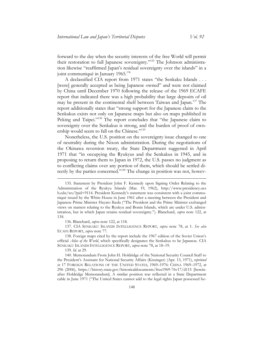forward to the day when the security interests of the free World will permit their restoration to full Japanese sovereignty."<sup>135</sup> The Johnson administration likewise "reaffirmed Japan's residual sovereignty over the islands" in a joint communiqué in January 1965.<sup>136</sup>

A declassified CIA report from 1971 states "the Senkaku Islands . . . [were] generally accepted as being Japanese owned" and were not claimed by China until December 1970 following the release of the 1969 ECAFE report that indicated there was a high probability that large deposits of oil may be present in the continental shelf between Taiwan and Japan.<sup>137</sup> The report additionally states that "strong support for the Japanese claim to the Senkakus exists not only on Japanese maps but also on maps published in Peking and Taipei."<sup>138</sup> The report concludes that "the Japanese claim to sovereignty over the Senkakus is strong, and the burden of proof of ownership would seem to fall on the Chinese."<sup>139</sup>

Nonetheless, the U.S. position on the sovereignty issue changed to one of neutrality during the Nixon administration. During the negotiations of the Okinawa reversion treaty, the State Department suggested in April 1971 that "in occupying the Ryukyus and the Senkakus in 1945, and in proposing to return them to Japan in 1972, the U.S. passes no judgment as to conflicting claims over any portion of them, which should be settled directly by the parties concerned."<sup>140</sup> The change in position was not, howev-

136. Blanchard, *supra* note 122, at 118.

139. *Id.* at 29.

 $\overline{a}$ 

<sup>135.</sup> Statement by President John F. Kennedy upon Signing Order Relating to the Administration of the Ryukyu Islands (Mar. 19, 1962), [http://www.presidency.ucs](http://www.presidency.ucsb.edu/ws/?pid=9114)  [b.edu/ws/?pid=9114](http://www.presidency.ucsb.edu/ws/?pid=9114). President Kennedy's statement was consistent with a joint communiqué issued by the White House in June 1961 after a meeting between the President and Japanese Prime Minister Hayato Ikeda ("The President and the Prime Minister exchanged views on matters relating to the Ryukyu and Bonin Islands, which are under U.S. administration, but in which Japan retains residual sovereignty."). Blanchard, *supra* note 122, at 118.

<sup>137.</sup> CIA SENKAKU ISLANDS INTELLIGENCE REPORT, *supra* note 78, at 1. *See also* ECAFE REPORT, *supra* note 77.

<sup>138</sup>. Foreign maps cited by the report include the 1967 edition of the Soviet Union's official *Atlas of the World*, which specifically designates the Senkakus to be Japanese. CIA SENKAKU ISLANDS INTELLIGENCE REPORT, *supra* note 78, at 18–19.

<sup>140.</sup> Memorandum From John H. Holdridge of the National Security Council Staff to the President's Assistant for National Security Affairs (Kissinger) (Apr. 13, 1971), *reprinted in* 17 FOREIGN RELATIONS OF THE UNITED STATES, 1969–1976: CHINA 1969–1972, at 296 (2006),<https://history.state.gov/historicaldocuments/frus1969-76v17/d115> [hereinafter Holdridge Memorandum]. A similar position was reflected in a State Department cable in June 1971 ("The United States cannot add to the legal rights Japan possessed be-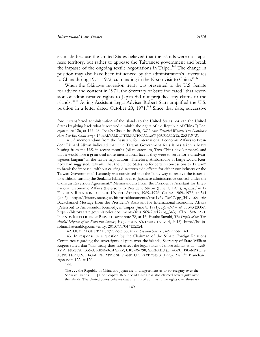er, made because the United States believed that the islands were not Japanese territory, but rather to appease the Taiwanese government and break the impasse of the ongoing textile negotiations in Taipei.<sup>141</sup> The change in position may also have been influenced by the administration's "overtures to China during 1971–1972, culminating in the Nixon visit to China."<sup>142</sup>

When the Okinawa reversion treaty was presented to the U.S. Senate for advice and consent in 1971, the Secretary of State indicated "that reversion of administrative rights to Japan did not prejudice any claims to the islands."<sup>143</sup> Acting Assistant Legal Adviser Robert Starr amplified the U.S. position in a letter dated October 20, 1971.<sup>144</sup> Since that date, successive

141. A memorandum from the Assistant for International Economic Affairs to President Richard Nixon indicated that "the Taiwan Government feels it has taken a heavy beating from the U.S. in recent months (oil moratorium, Two-China developments) and that it would lose a great deal more international face if they were to settle for a disadvantageous bargain" in the textile negotiations. Therefore, Ambassador-at-Large David Kennedy had suggested, *inter alia*, that the United States "offer certain concessions to Taiwan" to break the impasse "without causing disastrous side effects for either our industry or the Taiwan Government." Kennedy was convinced that the "only way to resolve the issues is to withhold turning the Senkaku Islands over to Japanese administrative control under the Okinawa Reversion Agreement." Memorandum From the President's Assistant for International Economic Affairs (Peterson) to President Nixon (June 7, 1971), *reprinted in* 17 FOREIGN RELATIONS OF THE UNITED STATES, 1969–1976: CHINA 1969–1972, at 341 (2006), https://history.state.gov/historicaldocuments/frus1969-76v17/pg\_341. *See also* Backchannel Message from the President's Assistant for International Economic Affairs (Peterson) to Ambassador Kennedy, in Taipei (June 8, 1971), *reprinted in id.* at 343 (2006), https://history.state.gov/historicaldocuments/frus1969-76v17/pg\_343; CIA SENKAKU ISLANDS INTELLIGENCE REPORT, *supra* note 78, at 16; Eisuke Suzuki, *The Origin of the Territorial Dispute of the Senkaku Islands*, HOJOROHNIN'S DIARY (Nov. 4, 2013), [http://ho jo](http://hojorohnin.hatenablog.com/entry/2013/11/04/132324)[rohnin.hatenablog.com/entry/2013/11/04/132324.](http://hojorohnin.hatenablog.com/entry/2013/11/04/132324)

142. DUMBAUGH ET AL., *supra* note 88, at 22. *See also* Suzuki, *supra* note 140.

143. In response to a question by the Chairman of the Senate Foreign Relations Committee regarding the sovereignty dispute over the islands, Secretary of State William Rogers stated that "this treaty does not affect the legal status of those islands at all." LAR-RY A. NIKSCH, CONG. RESEARCH SERV, CRS-96-798, SENKAKU (DIAOYU) ISLANDS DIS-PUTE: THE U.S. LEGAL RELATIONSHIP AND OBLIGATIONS 3 (1996). *See also* Blanchard, *supra* note 122, at 120.

144.

The . . . the Republic of China and Japan are in disagreement as to sovereignty over the Senkaku Islands. . . . [T]he People's Republic of China has also claimed sovereignty over the islands. The United States believes that a return of administrative rights over those is-

fore it transferred administration of the islands to the United States nor can the United States by giving back what it received diminish the rights of the Republic of China.") Lee, *supra* note 126, at 122–23. *See also* Choon-ho Park, *Oil Under Troubled Waters: The Northeast Asia Sea-Bed Controversy*, 14 HARVARD INTERNATIONAL LAW JOURNAL 212, 253 (1973).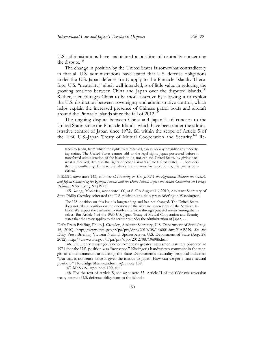U.S. administrations have maintained a position of neutrality concerning the dispute. $145$ 

The change in position by the United States is somewhat contradictory in that all U.S. administrations have stated that U.S. defense obligations under the U.S.-Japan defense treaty apply to the Pinnacle Islands. Therefore, U.S. "neutrality," albeit well-intended, is of little value in reducing the growing tensions between China and Japan over the disputed islands.<sup>146</sup> Rather, it encourages China to be more assertive by allowing it to exploit the U.S. distinction between sovereignty and administrative control, which helps explain the increased presence of Chinese patrol boats and aircraft around the Pinnacle Islands since the fall of  $2012$ <sup>147</sup>

The ongoing dispute between China and Japan is of concern to the United States since the Pinnacle Islands, which have been under the administrative control of Japan since 1972, fall within the scope of Article 5 of the 1960 U.S.-Japan Treaty of Mutual Cooperation and Security.<sup>148</sup> Re-

lands to Japan, from which the rights were received, can in no way prejudice any underlying claims. The United States cannot add to the legal rights Japan possessed before it transferred administration of the islands to us, nor can the United States, by giving back what it received, diminish the rights of other claimants. The United States . . . considers that any conflicting claims to the islands are a matter for resolution by the parties concerned.

NIKSCH, *supra* note 143, at 3*. See also Hearing on Ex. J. 92-1 the Agreement Between the U.S.A. and Japan Concerning the Ryukyu Islands and the Daito Islands Before the Senate Committee on Foreign Relations*, 92nd Cong. 91 (1971).

145. *See e.g,*, MANYIN, *supra* note 100, at 6. On August 16, 2010, Assistant Secretary of State Philip Crowley reiterated the U.S. position at a daily press briefing in Washington:

The U.S. position on this issue is longstanding and has not changed. The United States does not take a position on the question of the ultimate sovereignty of the Senkaku Islands. We expect the claimants to resolve this issue through peaceful means among themselves. But Article 5 of the 1960 U.S.-Japan Treaty of Mutual Cooperation and Security states that the treaty applies to the territories under the administration of Japan. . . .

Daily Press Briefing, Philip J. Crowley, Assistant Secretary, U.S. Department of State (Aug. 16, 2010), [http://www.state.gov/r/pa/prs/dpb/2010/08/146001.htm#JAPAN.](http://www.state.gov/r/pa/prs/dpb/2010/08/146001.htm#JAPAN) *See also* Daily Press Briefing, Victoria Nuland, Spokesperson, U.S. Department of State (Aug. 28, 2012), [http://www.state.gov/r/pa/prs/dpb/2012/08/196986.htm.](http://www.state.gov/r/pa/prs/dpb/2012/08/196986.htm)

146. Dr. Henry Kissinger, one of America's greatest statesmen, astutely observed in 1971 that the U.S. position was "nonsense." Kissinger's handwritten comment in the margin of a memorandum articulating the State Department's neutrality proposal indicated: "But that is nonsense since it gives the islands to Japan. How can we get a more neutral position?" Holdridge Memorandum, *supra* note 139.

147. MANYIN, *supra* note 100, at 6.

 $\overline{a}$ 

148. For the text of Article 5, see *supra* note 53. Article II of the Okinawa reversion treaty extends U.S. defense obligations to the islands: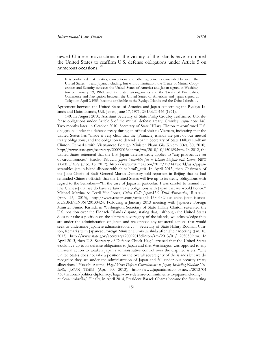newed Chinese provocations in the vicinity of the islands have prompted the United States to reaffirm U.S. defense obligations under Article 5 on numerous occasions.<sup>149</sup>

Agreement between the United States of America and Japan concerning the Ryukyu Islands and Daito Islands, U.S.-Japan, June 17, 1971, 23 U.S.T. 446 (1971).

149. In August 2010, Assistant Secretary of State Philip Crowley reaffirmed U.S. defense obligations under Article 5 of the mutual defense treaty. Crowley, *supra* note 146. Two months later, in October 2010, Secretary of State Hillary Clinton re-confirmed U.S. obligations under the defense treaty during an official visit to Vietnam, indicating that the United States has "made it very clear that the [Pinnacle] islands are part of our mutual treaty obligations, and the obligation to defend Japan." Secretary of State Hillary Rodham Clinton, Remarks with Vietnamese Foreign Minister Pham Gia Khiem (Oct. 30, 2010), [http://www.state.gov/secretary/20092013clinton/rm/2010/10/150189.htm.](http://www.state.gov/secretary/20092013clinton/rm/2010/10/150189.htm) In 2012, the United States reiterated that the U.S.-Japan defense treaty applies to "any provocative set of circumstances." Hiroko Tabuchi, *Japan Scrambles Jets in Islands Dispute with China*, NEW YORK TIMES (Dec. 13, 2012), [http://www.nytimes.com/2012/12/14/world/asia/japan](http://www.nytimes.com/2012/12/14/world/asia/japan-scrambles-jets-in-island-dispute-with-china.html?_r=0)scrambles-jets-in-island-dispute-with-china.html? $r=0$ . In April 2013, then Chairman of the Joint Chiefs of Staff General Martin Dempsey told reporters in Beijing that he had reminded Chinese officials that the United States will live up to its treaty obligations with regard to the Senkakus—"In the case of Japan in particular, I was careful to remind . . . [the Chinese] that we do have certain treaty obligations with Japan that we would honor." Michael Martina & Terril Yue Jones, *China Calls Japan-U.S. Drill 'Provocative,'* REUTERS (Apr. 25, 2013), [http://www.reuters.com/article/2013/04/24/us-china-japan-islands](http://www.reuters.com/article/2013/04/24/us-china-japan-islands-idUSBRE93N0N720130424)[idUSBRE93N0N720130424.](http://www.reuters.com/article/2013/04/24/us-china-japan-islands-idUSBRE93N0N720130424) Following a January 2013 meeting with Japanese Foreign Minister Fumio Kishida in Washington, Secretary of State Hillary Clinton reiterated the U.S. position over the Pinnacle Islands dispute, stating that, "although the United States does not take a position on the ultimate sovereignty of the islands, we acknowledge they are under the administration of Japan and we oppose any unilateral actions that would seek to undermine Japanese administration. . . ." Secretary of State Hillary Rodham Clinton, Remarks with Japanese Foreign Minister Fumio Kishida after Their Meeting (Jan. 18, 2013), [http://www.state.gov/secretary/20092013clinton/rm/2013/01/ 203050.htm.](http://www.state.gov/secretary/20092013clinton/rm/2013/01/203050.htm) In April 2013, then U.S. Secretary of Defense Chuck Hagel stressed that the United States would live up to its defense obligations to Japan and that Washington was opposed to any unilateral action to weaken Japan's administrative control over the disputed islets: "The United States does not take a position on the overall sovereignty of the islands but we do recognize they are under the administration of Japan and fall under our security treaty allocations." Yasushi Azuma, *Hagel Vows Defense Commitments to Japan, Including Nuclear Umbrella*, JAPAN TIMES (Apr. 30, 2013), [http://www.japantimes.co.jp/news/2013/04](http://www.japantimes.co.jp/news/2013/04/30/national/politics-diplomacy/hagel-vows-defense-commitments-to-japan-including-nuclear-umbrella/)  [/30/national/politics-diplomacy/hagel-vows-defense-commitments-to-japan-including](http://www.japantimes.co.jp/news/2013/04/30/national/politics-diplomacy/hagel-vows-defense-commitments-to-japan-including-nuclear-umbrella/)[nuclear-umbrella/.](http://www.japantimes.co.jp/news/2013/04/30/national/politics-diplomacy/hagel-vows-defense-commitments-to-japan-including-nuclear-umbrella/) Finally, in April 2014, President Barack Obama became the first sitting

It is confirmed that treaties, conventions and other agreements concluded between the United States . . . and Japan, including, but without limitation, the Treaty of Mutual Cooperation and Security between the United States of America and Japan signed at Washington on January 19, 1960, and its related arrangements and the Treaty of Friendship, Commerce and Navigation between the United States of American and Japan signed at Tokyo on April 2,1953, become applicable to the Ryukyu Islands and the Daito Islands. . .